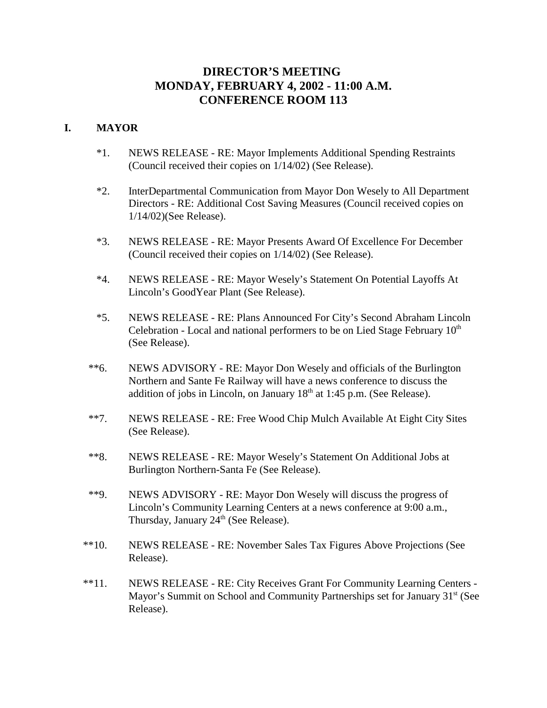# **DIRECTOR'S MEETING MONDAY, FEBRUARY 4, 2002 - 11:00 A.M. CONFERENCE ROOM 113**

## **I. MAYOR**

- \*1. NEWS RELEASE RE: Mayor Implements Additional Spending Restraints (Council received their copies on 1/14/02) (See Release).
- \*2. InterDepartmental Communication from Mayor Don Wesely to All Department Directors - RE: Additional Cost Saving Measures (Council received copies on 1/14/02)(See Release).
- \*3. NEWS RELEASE RE: Mayor Presents Award Of Excellence For December (Council received their copies on 1/14/02) (See Release).
- \*4. NEWS RELEASE RE: Mayor Wesely's Statement On Potential Layoffs At Lincoln's GoodYear Plant (See Release).
- \*5. NEWS RELEASE RE: Plans Announced For City's Second Abraham Lincoln Celebration - Local and national performers to be on Lied Stage February  $10<sup>th</sup>$ (See Release).
- \*\*6. NEWS ADVISORY RE: Mayor Don Wesely and officials of the Burlington Northern and Sante Fe Railway will have a news conference to discuss the addition of jobs in Lincoln, on January  $18<sup>th</sup>$  at 1:45 p.m. (See Release).
- \*\*7. NEWS RELEASE RE: Free Wood Chip Mulch Available At Eight City Sites (See Release).
- \*\*8. NEWS RELEASE RE: Mayor Wesely's Statement On Additional Jobs at Burlington Northern-Santa Fe (See Release).
- \*\*9. NEWS ADVISORY RE: Mayor Don Wesely will discuss the progress of Lincoln's Community Learning Centers at a news conference at 9:00 a.m., Thursday, January  $24<sup>th</sup>$  (See Release).
- \*\*10. NEWS RELEASE RE: November Sales Tax Figures Above Projections (See Release).
- \*\*11. NEWS RELEASE RE: City Receives Grant For Community Learning Centers Mayor's Summit on School and Community Partnerships set for January 31<sup>st</sup> (See Release).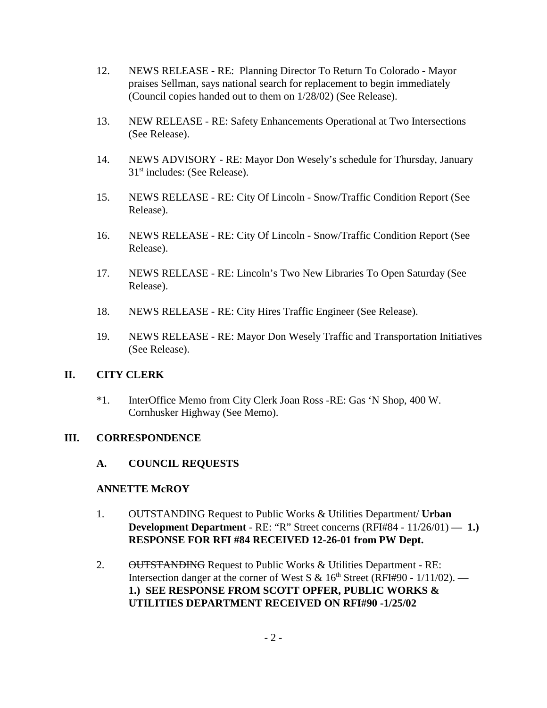- 12. NEWS RELEASE RE: Planning Director To Return To Colorado Mayor praises Sellman, says national search for replacement to begin immediately (Council copies handed out to them on 1/28/02) (See Release).
- 13. NEW RELEASE RE: Safety Enhancements Operational at Two Intersections (See Release).
- 14. NEWS ADVISORY RE: Mayor Don Wesely's schedule for Thursday, January 31<sup>st</sup> includes: (See Release).
- 15. NEWS RELEASE RE: City Of Lincoln Snow/Traffic Condition Report (See Release).
- 16. NEWS RELEASE RE: City Of Lincoln Snow/Traffic Condition Report (See Release).
- 17. NEWS RELEASE RE: Lincoln's Two New Libraries To Open Saturday (See Release).
- 18. NEWS RELEASE RE: City Hires Traffic Engineer (See Release).
- 19. NEWS RELEASE RE: Mayor Don Wesely Traffic and Transportation Initiatives (See Release).

# **II. CITY CLERK**

\*1. InterOffice Memo from City Clerk Joan Ross -RE: Gas 'N Shop, 400 W. Cornhusker Highway (See Memo).

## **III. CORRESPONDENCE**

## **A. COUNCIL REQUESTS**

## **ANNETTE McROY**

- 1. OUTSTANDING Request to Public Works & Utilities Department/ **Urban Development Department** - RE: "R" Street concerns (RFI#84 - 11/26/01) — 1.) **RESPONSE FOR RFI #84 RECEIVED 12-26-01 from PW Dept.**
- 2. OUTSTANDING Request to Public Works & Utilities Department RE: Intersection danger at the corner of West S &  $16<sup>th</sup>$  Street (RFI#90 -  $1/11/02$ ). — **1.) SEE RESPONSE FROM SCOTT OPFER, PUBLIC WORKS & UTILITIES DEPARTMENT RECEIVED ON RFI#90 -1/25/02**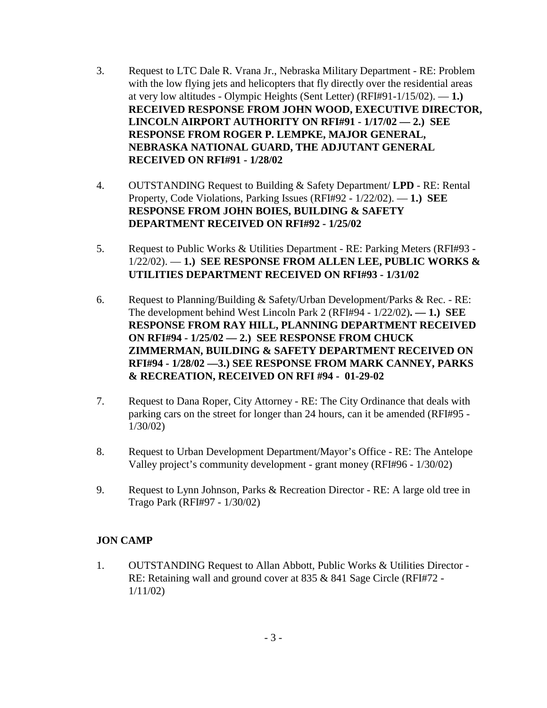- 3. Request to LTC Dale R. Vrana Jr., Nebraska Military Department RE: Problem with the low flying jets and helicopters that fly directly over the residential areas at very low altitudes - Olympic Heights (Sent Letter) (RFI#91-1/15/02). — **1.) RECEIVED RESPONSE FROM JOHN WOOD, EXECUTIVE DIRECTOR, LINCOLN AIRPORT AUTHORITY ON RFI#91 - 1/17/02 — 2.) SEE RESPONSE FROM ROGER P. LEMPKE, MAJOR GENERAL, NEBRASKA NATIONAL GUARD, THE ADJUTANT GENERAL RECEIVED ON RFI#91 - 1/28/02**
- 4. OUTSTANDING Request to Building & Safety Department/ **LPD** RE: Rental Property, Code Violations, Parking Issues (RFI#92 - 1/22/02). — **1.) SEE RESPONSE FROM JOHN BOIES, BUILDING & SAFETY DEPARTMENT RECEIVED ON RFI#92 - 1/25/02**
- 5. Request to Public Works & Utilities Department RE: Parking Meters (RFI#93 1/22/02). — **1.) SEE RESPONSE FROM ALLEN LEE, PUBLIC WORKS & UTILITIES DEPARTMENT RECEIVED ON RFI#93 - 1/31/02**
- 6. Request to Planning/Building & Safety/Urban Development/Parks & Rec. RE: The development behind West Lincoln Park 2 (RFI#94 - 1/22/02)**. — 1.) SEE RESPONSE FROM RAY HILL, PLANNING DEPARTMENT RECEIVED ON RFI#94 - 1/25/02 — 2.) SEE RESPONSE FROM CHUCK ZIMMERMAN, BUILDING & SAFETY DEPARTMENT RECEIVED ON RFI#94 - 1/28/02 —3.) SEE RESPONSE FROM MARK CANNEY, PARKS & RECREATION, RECEIVED ON RFI #94 - 01-29-02**
- 7. Request to Dana Roper, City Attorney RE: The City Ordinance that deals with parking cars on the street for longer than 24 hours, can it be amended (RFI#95 - 1/30/02)
- 8. Request to Urban Development Department/Mayor's Office RE: The Antelope Valley project's community development - grant money (RFI#96 - 1/30/02)
- 9. Request to Lynn Johnson, Parks & Recreation Director RE: A large old tree in Trago Park (RFI#97 - 1/30/02)

# **JON CAMP**

1. OUTSTANDING Request to Allan Abbott, Public Works & Utilities Director - RE: Retaining wall and ground cover at 835 & 841 Sage Circle (RFI#72 - 1/11/02)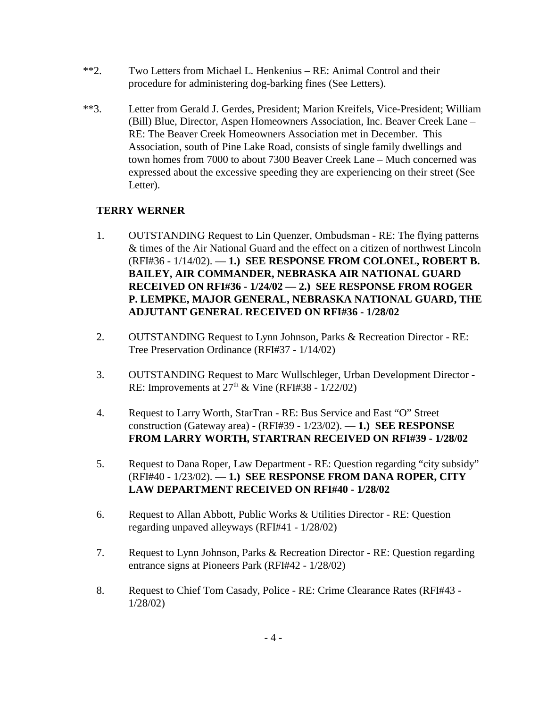- \*\*2. Two Letters from Michael L. Henkenius RE: Animal Control and their procedure for administering dog-barking fines (See Letters).
- \*\*3. Letter from Gerald J. Gerdes, President; Marion Kreifels, Vice-President; William (Bill) Blue, Director, Aspen Homeowners Association, Inc. Beaver Creek Lane – RE: The Beaver Creek Homeowners Association met in December. This Association, south of Pine Lake Road, consists of single family dwellings and town homes from 7000 to about 7300 Beaver Creek Lane – Much concerned was expressed about the excessive speeding they are experiencing on their street (See Letter).

## **TERRY WERNER**

- 1. OUTSTANDING Request to Lin Quenzer, Ombudsman RE: The flying patterns & times of the Air National Guard and the effect on a citizen of northwest Lincoln (RFI#36 - 1/14/02). — **1.) SEE RESPONSE FROM COLONEL, ROBERT B. BAILEY, AIR COMMANDER, NEBRASKA AIR NATIONAL GUARD RECEIVED ON RFI#36 - 1/24/02 — 2.) SEE RESPONSE FROM ROGER P. LEMPKE, MAJOR GENERAL, NEBRASKA NATIONAL GUARD, THE ADJUTANT GENERAL RECEIVED ON RFI#36 - 1/28/02**
- 2. OUTSTANDING Request to Lynn Johnson, Parks & Recreation Director RE: Tree Preservation Ordinance (RFI#37 - 1/14/02)
- 3. OUTSTANDING Request to Marc Wullschleger, Urban Development Director RE: Improvements at  $27<sup>th</sup>$  & Vine (RFI#38 - 1/22/02)
- 4. Request to Larry Worth, StarTran RE: Bus Service and East "O" Street construction (Gateway area) - (RFI#39 - 1/23/02). — **1.) SEE RESPONSE FROM LARRY WORTH, STARTRAN RECEIVED ON RFI#39 - 1/28/02**
- 5. Request to Dana Roper, Law Department RE: Question regarding "city subsidy" (RFI#40 - 1/23/02). — **1.) SEE RESPONSE FROM DANA ROPER, CITY LAW DEPARTMENT RECEIVED ON RFI#40 - 1/28/02**
- 6. Request to Allan Abbott, Public Works & Utilities Director RE: Question regarding unpaved alleyways (RFI#41 - 1/28/02)
- 7. Request to Lynn Johnson, Parks & Recreation Director RE: Question regarding entrance signs at Pioneers Park (RFI#42 - 1/28/02)
- 8. Request to Chief Tom Casady, Police RE: Crime Clearance Rates (RFI#43 1/28/02)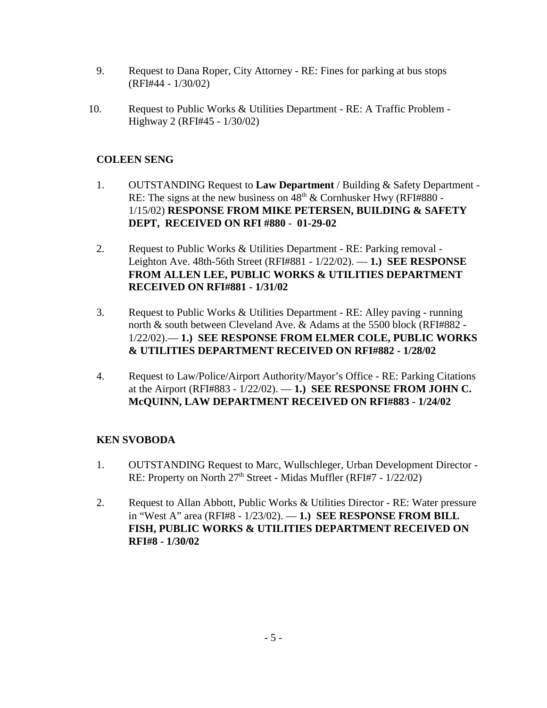- 9. Request to Dana Roper, City Attorney RE: Fines for parking at bus stops (RFI#44 - 1/30/02)
- 10. Request to Public Works & Utilities Department RE: A Traffic Problem Highway 2 (RFI#45 - 1/30/02)

# **COLEEN SENG**

- 1. OUTSTANDING Request to **Law Department** / Building & Safety Department RE: The signs at the new business on  $48<sup>th</sup>$  & Cornhusker Hwy (RFI#880 -1/15/02) **RESPONSE FROM MIKE PETERSEN, BUILDING & SAFETY DEPT, RECEIVED ON RFI #880** - **01-29-02**
- 2. Request to Public Works & Utilities Department RE: Parking removal Leighton Ave. 48th-56th Street (RFI#881 - 1/22/02). — **1.) SEE RESPONSE FROM ALLEN LEE, PUBLIC WORKS & UTILITIES DEPARTMENT RECEIVED ON RFI#881 - 1/31/02**
- 3. Request to Public Works & Utilities Department RE: Alley paving running north & south between Cleveland Ave. & Adams at the 5500 block (RFI#882 - 1/22/02).— **1.) SEE RESPONSE FROM ELMER COLE, PUBLIC WORKS & UTILITIES DEPARTMENT RECEIVED ON RFI#882 - 1/28/02**
- 4. Request to Law/Police/Airport Authority/Mayor's Office RE: Parking Citations at the Airport (RFI#883 - 1/22/02). — **1.) SEE RESPONSE FROM JOHN C. McQUINN, LAW DEPARTMENT RECEIVED ON RFI#883 - 1/24/02**

# **KEN SVOBODA**

- 1. OUTSTANDING Request to Marc, Wullschleger, Urban Development Director RE: Property on North  $27<sup>th</sup>$  Street - Midas Muffler (RFI#7 -  $1/22/02$ )
- 2. Request to Allan Abbott, Public Works & Utilities Director RE: Water pressure in "West A" area (RFI#8 - 1/23/02). — **1.) SEE RESPONSE FROM BILL FISH, PUBLIC WORKS & UTILITIES DEPARTMENT RECEIVED ON RFI#8 - 1/30/02**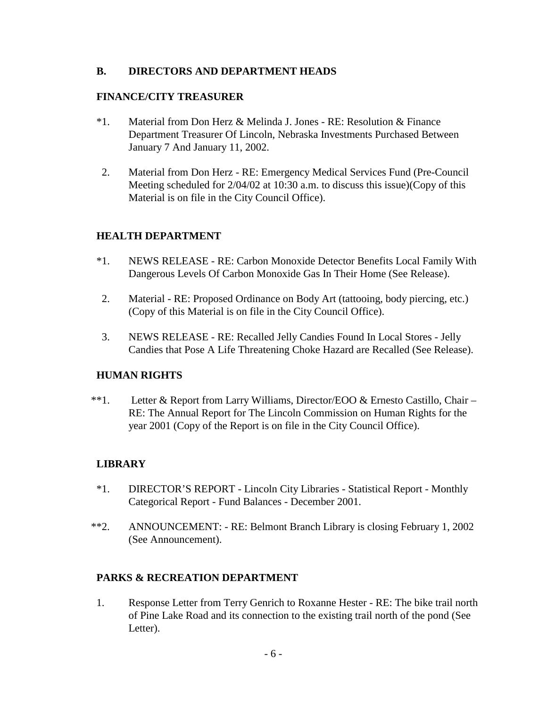## **B. DIRECTORS AND DEPARTMENT HEADS**

## **FINANCE/CITY TREASURER**

- \*1. Material from Don Herz & Melinda J. Jones RE: Resolution & Finance Department Treasurer Of Lincoln, Nebraska Investments Purchased Between January 7 And January 11, 2002.
- 2. Material from Don Herz RE: Emergency Medical Services Fund (Pre-Council Meeting scheduled for 2/04/02 at 10:30 a.m. to discuss this issue)(Copy of this Material is on file in the City Council Office).

# **HEALTH DEPARTMENT**

- \*1. NEWS RELEASE RE: Carbon Monoxide Detector Benefits Local Family With Dangerous Levels Of Carbon Monoxide Gas In Their Home (See Release).
- 2. Material RE: Proposed Ordinance on Body Art (tattooing, body piercing, etc.) (Copy of this Material is on file in the City Council Office).
- 3. NEWS RELEASE RE: Recalled Jelly Candies Found In Local Stores Jelly Candies that Pose A Life Threatening Choke Hazard are Recalled (See Release).

## **HUMAN RIGHTS**

 \*\*1. Letter & Report from Larry Williams, Director/EOO & Ernesto Castillo, Chair – RE: The Annual Report for The Lincoln Commission on Human Rights for the year 2001 (Copy of the Report is on file in the City Council Office).

# **LIBRARY**

- \*1. DIRECTOR'S REPORT Lincoln City Libraries Statistical Report Monthly Categorical Report - Fund Balances - December 2001.
- \*\*2. ANNOUNCEMENT: RE: Belmont Branch Library is closing February 1, 2002 (See Announcement).

# **PARKS & RECREATION DEPARTMENT**

1. Response Letter from Terry Genrich to Roxanne Hester - RE: The bike trail north of Pine Lake Road and its connection to the existing trail north of the pond (See Letter).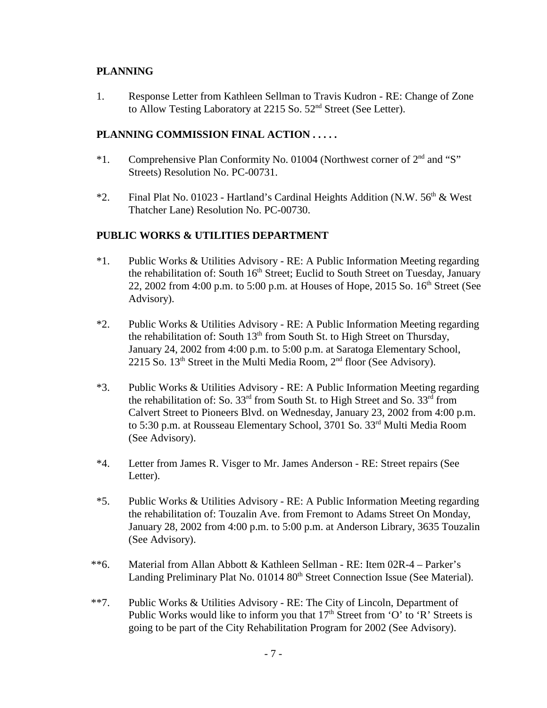## **PLANNING**

1. Response Letter from Kathleen Sellman to Travis Kudron - RE: Change of Zone to Allow Testing Laboratory at 2215 So. 52<sup>nd</sup> Street (See Letter).

## **PLANNING COMMISSION FINAL ACTION . . . . .**

- \*1. Comprehensive Plan Conformity No. 01004 (Northwest corner of 2nd and "S" Streets) Resolution No. PC-00731.
- \*2. Final Plat No. 01023 Hartland's Cardinal Heights Addition (N.W.  $56<sup>th</sup>$  & West Thatcher Lane) Resolution No. PC-00730.

# **PUBLIC WORKS & UTILITIES DEPARTMENT**

- \*1. Public Works & Utilities Advisory RE: A Public Information Meeting regarding the rehabilitation of: South  $16<sup>th</sup>$  Street; Euclid to South Street on Tuesday, January 22, 2002 from 4:00 p.m. to 5:00 p.m. at Houses of Hope, 2015 So.  $16<sup>th</sup>$  Street (See Advisory).
- \*2. Public Works & Utilities Advisory RE: A Public Information Meeting regarding the rehabilitation of: South  $13<sup>th</sup>$  from South St. to High Street on Thursday, January 24, 2002 from 4:00 p.m. to 5:00 p.m. at Saratoga Elementary School, 2215 So.  $13<sup>th</sup>$  Street in the Multi Media Room,  $2<sup>nd</sup>$  floor (See Advisory).
- \*3. Public Works & Utilities Advisory RE: A Public Information Meeting regarding the rehabilitation of: So.  $33<sup>rd</sup>$  from South St. to High Street and So.  $33<sup>rd</sup>$  from Calvert Street to Pioneers Blvd. on Wednesday, January 23, 2002 from 4:00 p.m. to 5:30 p.m. at Rousseau Elementary School, 3701 So. 33<sup>rd</sup> Multi Media Room (See Advisory).
- \*4. Letter from James R. Visger to Mr. James Anderson RE: Street repairs (See Letter).
- \*5. Public Works & Utilities Advisory RE: A Public Information Meeting regarding the rehabilitation of: Touzalin Ave. from Fremont to Adams Street On Monday, January 28, 2002 from 4:00 p.m. to 5:00 p.m. at Anderson Library, 3635 Touzalin (See Advisory).
- \*\*6. Material from Allan Abbott & Kathleen Sellman RE: Item 02R-4 Parker's Landing Preliminary Plat No. 01014 80<sup>th</sup> Street Connection Issue (See Material).
- \*\*7. Public Works & Utilities Advisory RE: The City of Lincoln, Department of Public Works would like to inform you that  $17<sup>th</sup>$  Street from 'O' to 'R' Streets is going to be part of the City Rehabilitation Program for 2002 (See Advisory).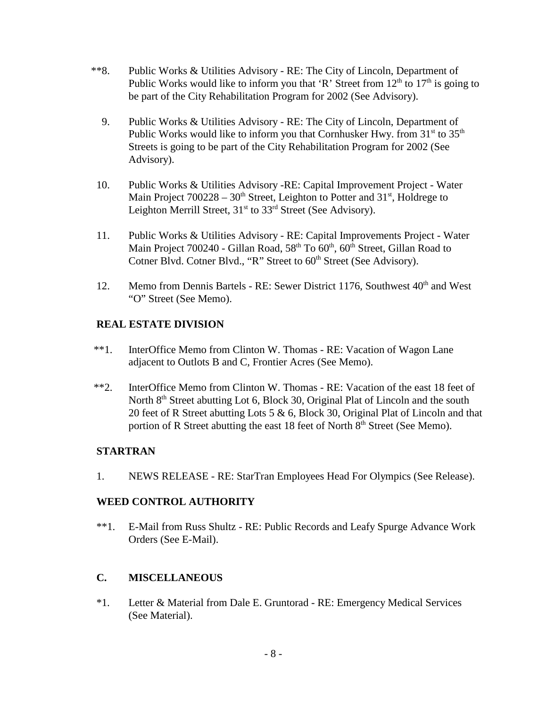- \*\*8. Public Works & Utilities Advisory RE: The City of Lincoln, Department of Public Works would like to inform you that 'R' Street from  $12<sup>th</sup>$  to  $17<sup>th</sup>$  is going to be part of the City Rehabilitation Program for 2002 (See Advisory).
	- 9. Public Works & Utilities Advisory RE: The City of Lincoln, Department of Public Works would like to inform you that Cornhusker Hwy. from  $31<sup>st</sup>$  to  $35<sup>th</sup>$ Streets is going to be part of the City Rehabilitation Program for 2002 (See Advisory).
- 10. Public Works & Utilities Advisory -RE: Capital Improvement Project Water Main Project  $700228 - 30<sup>th</sup>$  Street, Leighton to Potter and  $31<sup>st</sup>$ , Holdrege to Leighton Merrill Street,  $31<sup>st</sup>$  to  $33<sup>rd</sup>$  Street (See Advisory).
- 11. Public Works & Utilities Advisory RE: Capital Improvements Project Water Main Project 700240 - Gillan Road,  $58<sup>th</sup>$  To  $60<sup>th</sup>$ ,  $60<sup>th</sup>$  Street, Gillan Road to Cotner Blvd. Cotner Blvd., "R" Street to 60<sup>th</sup> Street (See Advisory).
- 12. Memo from Dennis Bartels RE: Sewer District 1176, Southwest 40<sup>th</sup> and West "O" Street (See Memo).

# **REAL ESTATE DIVISION**

- \*\*1. InterOffice Memo from Clinton W. Thomas RE: Vacation of Wagon Lane adjacent to Outlots B and C, Frontier Acres (See Memo).
- \*\*2. InterOffice Memo from Clinton W. Thomas RE: Vacation of the east 18 feet of North 8<sup>th</sup> Street abutting Lot 6, Block 30, Original Plat of Lincoln and the south 20 feet of R Street abutting Lots 5 & 6, Block 30, Original Plat of Lincoln and that portion of R Street abutting the east 18 feet of North 8<sup>th</sup> Street (See Memo).

# **STARTRAN**

1. NEWS RELEASE - RE: StarTran Employees Head For Olympics (See Release).

# **WEED CONTROL AUTHORITY**

\*\*1. E-Mail from Russ Shultz - RE: Public Records and Leafy Spurge Advance Work Orders (See E-Mail).

# **C. MISCELLANEOUS**

\*1. Letter & Material from Dale E. Gruntorad - RE: Emergency Medical Services (See Material).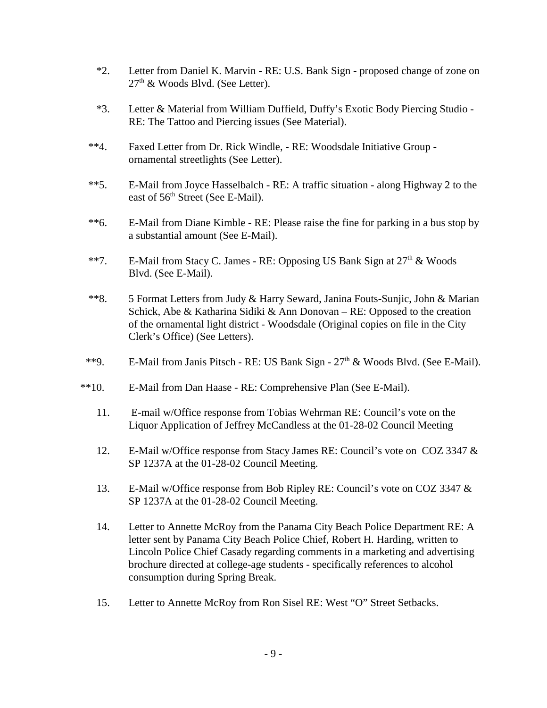- \*2. Letter from Daniel K. Marvin RE: U.S. Bank Sign proposed change of zone on  $27<sup>th</sup>$  & Woods Blvd. (See Letter).
- \*3. Letter & Material from William Duffield, Duffy's Exotic Body Piercing Studio RE: The Tattoo and Piercing issues (See Material).
- \*\*4. Faxed Letter from Dr. Rick Windle, RE: Woodsdale Initiative Group ornamental streetlights (See Letter).
- \*\*5. E-Mail from Joyce Hasselbalch RE: A traffic situation along Highway 2 to the east of 56<sup>th</sup> Street (See E-Mail).
- \*\*6. E-Mail from Diane Kimble RE: Please raise the fine for parking in a bus stop by a substantial amount (See E-Mail).
- \*\*7. E-Mail from Stacy C. James RE: Opposing US Bank Sign at  $27<sup>th</sup>$  & Woods Blvd. (See E-Mail).
- \*\*8. 5 Format Letters from Judy & Harry Seward, Janina Fouts-Sunjic, John & Marian Schick, Abe & Katharina Sidiki & Ann Donovan – RE: Opposed to the creation of the ornamental light district - Woodsdale (Original copies on file in the City Clerk's Office) (See Letters).
- \*\*9. E-Mail from Janis Pitsch RE: US Bank Sign  $27<sup>th</sup>$  & Woods Blvd. (See E-Mail).
- \*\*10. E-Mail from Dan Haase RE: Comprehensive Plan (See E-Mail).
	- 11. E-mail w/Office response from Tobias Wehrman RE: Council's vote on the Liquor Application of Jeffrey McCandless at the 01-28-02 Council Meeting
	- 12. E-Mail w/Office response from Stacy James RE: Council's vote on COZ 3347 & SP 1237A at the 01-28-02 Council Meeting.
	- 13. E-Mail w/Office response from Bob Ripley RE: Council's vote on COZ 3347 & SP 1237A at the 01-28-02 Council Meeting.
	- 14. Letter to Annette McRoy from the Panama City Beach Police Department RE: A letter sent by Panama City Beach Police Chief, Robert H. Harding, written to Lincoln Police Chief Casady regarding comments in a marketing and advertising brochure directed at college-age students - specifically references to alcohol consumption during Spring Break.
	- 15. Letter to Annette McRoy from Ron Sisel RE: West "O" Street Setbacks.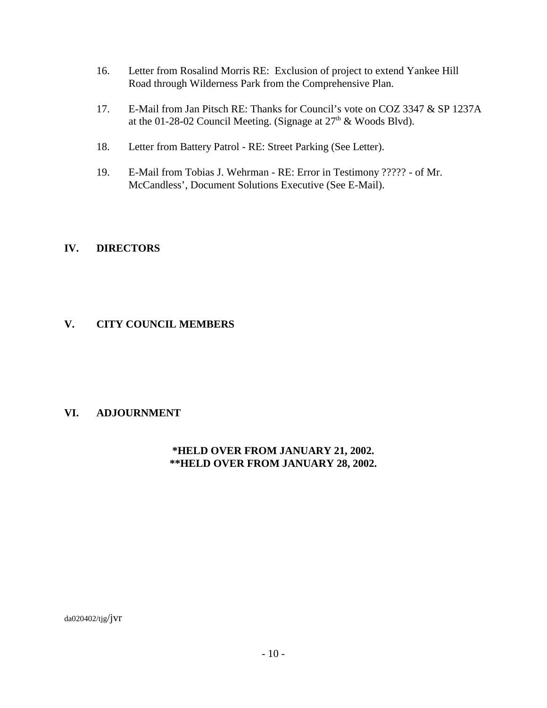- 16. Letter from Rosalind Morris RE: Exclusion of project to extend Yankee Hill Road through Wilderness Park from the Comprehensive Plan.
- 17. E-Mail from Jan Pitsch RE: Thanks for Council's vote on COZ 3347 & SP 1237A at the 01-28-02 Council Meeting. (Signage at  $27<sup>th</sup>$  & Woods Blvd).
- 18. Letter from Battery Patrol RE: Street Parking (See Letter).
- 19. E-Mail from Tobias J. Wehrman RE: Error in Testimony ????? of Mr. McCandless', Document Solutions Executive (See E-Mail).

## **IV. DIRECTORS**

## **V. CITY COUNCIL MEMBERS**

## **VI. ADJOURNMENT**

## **\*HELD OVER FROM JANUARY 21, 2002. \*\*HELD OVER FROM JANUARY 28, 2002.**

da020402/tjg/jvr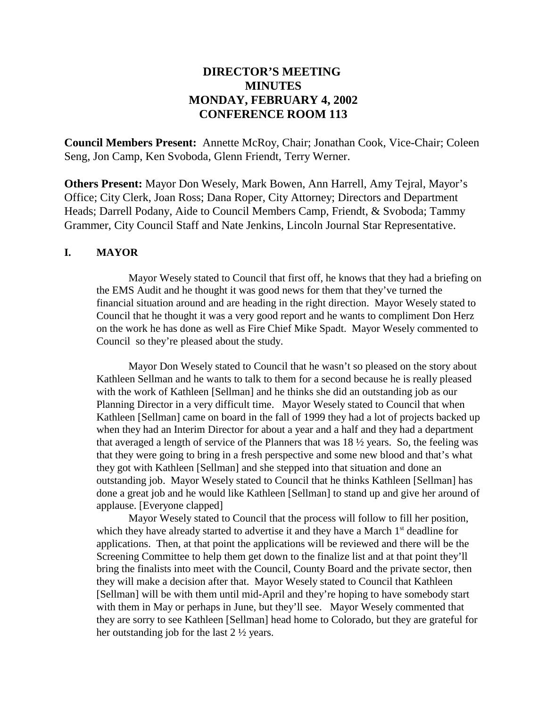# **DIRECTOR'S MEETING MINUTES MONDAY, FEBRUARY 4, 2002 CONFERENCE ROOM 113**

**Council Members Present:** Annette McRoy, Chair; Jonathan Cook, Vice-Chair; Coleen Seng, Jon Camp, Ken Svoboda, Glenn Friendt, Terry Werner.

**Others Present:** Mayor Don Wesely, Mark Bowen, Ann Harrell, Amy Tejral, Mayor's Office; City Clerk, Joan Ross; Dana Roper, City Attorney; Directors and Department Heads; Darrell Podany, Aide to Council Members Camp, Friendt, & Svoboda; Tammy Grammer, City Council Staff and Nate Jenkins, Lincoln Journal Star Representative.

## **I. MAYOR**

Mayor Wesely stated to Council that first off, he knows that they had a briefing on the EMS Audit and he thought it was good news for them that they've turned the financial situation around and are heading in the right direction. Mayor Wesely stated to Council that he thought it was a very good report and he wants to compliment Don Herz on the work he has done as well as Fire Chief Mike Spadt. Mayor Wesely commented to Council so they're pleased about the study.

Mayor Don Wesely stated to Council that he wasn't so pleased on the story about Kathleen Sellman and he wants to talk to them for a second because he is really pleased with the work of Kathleen [Sellman] and he thinks she did an outstanding job as our Planning Director in a very difficult time. Mayor Wesely stated to Council that when Kathleen [Sellman] came on board in the fall of 1999 they had a lot of projects backed up when they had an Interim Director for about a year and a half and they had a department that averaged a length of service of the Planners that was 18 ½ years. So, the feeling was that they were going to bring in a fresh perspective and some new blood and that's what they got with Kathleen [Sellman] and she stepped into that situation and done an outstanding job. Mayor Wesely stated to Council that he thinks Kathleen [Sellman] has done a great job and he would like Kathleen [Sellman] to stand up and give her around of applause. [Everyone clapped]

Mayor Wesely stated to Council that the process will follow to fill her position, which they have already started to advertise it and they have a March  $1<sup>st</sup>$  deadline for applications. Then, at that point the applications will be reviewed and there will be the Screening Committee to help them get down to the finalize list and at that point they'll bring the finalists into meet with the Council, County Board and the private sector, then they will make a decision after that. Mayor Wesely stated to Council that Kathleen [Sellman] will be with them until mid-April and they're hoping to have somebody start with them in May or perhaps in June, but they'll see. Mayor Wesely commented that they are sorry to see Kathleen [Sellman] head home to Colorado, but they are grateful for her outstanding job for the last 2 ½ years.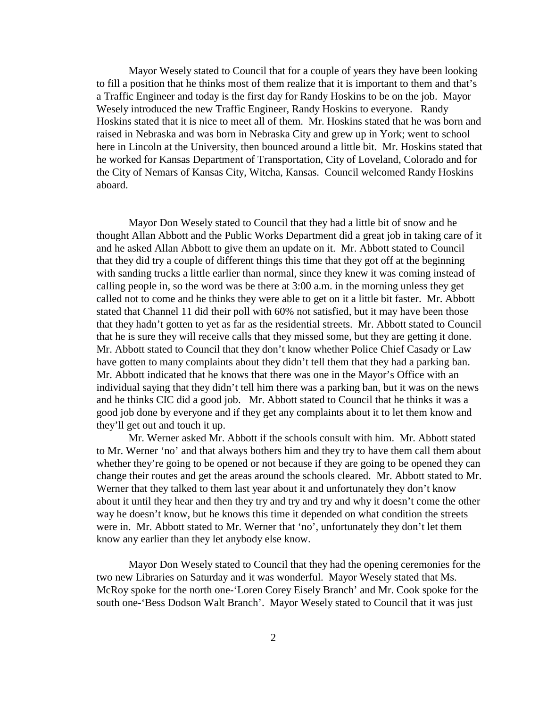Mayor Wesely stated to Council that for a couple of years they have been looking to fill a position that he thinks most of them realize that it is important to them and that's a Traffic Engineer and today is the first day for Randy Hoskins to be on the job. Mayor Wesely introduced the new Traffic Engineer, Randy Hoskins to everyone. Randy Hoskins stated that it is nice to meet all of them. Mr. Hoskins stated that he was born and raised in Nebraska and was born in Nebraska City and grew up in York; went to school here in Lincoln at the University, then bounced around a little bit. Mr. Hoskins stated that he worked for Kansas Department of Transportation, City of Loveland, Colorado and for the City of Nemars of Kansas City, Witcha, Kansas. Council welcomed Randy Hoskins aboard.

Mayor Don Wesely stated to Council that they had a little bit of snow and he thought Allan Abbott and the Public Works Department did a great job in taking care of it and he asked Allan Abbott to give them an update on it. Mr. Abbott stated to Council that they did try a couple of different things this time that they got off at the beginning with sanding trucks a little earlier than normal, since they knew it was coming instead of calling people in, so the word was be there at 3:00 a.m. in the morning unless they get called not to come and he thinks they were able to get on it a little bit faster. Mr. Abbott stated that Channel 11 did their poll with 60% not satisfied, but it may have been those that they hadn't gotten to yet as far as the residential streets. Mr. Abbott stated to Council that he is sure they will receive calls that they missed some, but they are getting it done. Mr. Abbott stated to Council that they don't know whether Police Chief Casady or Law have gotten to many complaints about they didn't tell them that they had a parking ban. Mr. Abbott indicated that he knows that there was one in the Mayor's Office with an individual saying that they didn't tell him there was a parking ban, but it was on the news and he thinks CIC did a good job. Mr. Abbott stated to Council that he thinks it was a good job done by everyone and if they get any complaints about it to let them know and they'll get out and touch it up.

Mr. Werner asked Mr. Abbott if the schools consult with him. Mr. Abbott stated to Mr. Werner 'no' and that always bothers him and they try to have them call them about whether they're going to be opened or not because if they are going to be opened they can change their routes and get the areas around the schools cleared. Mr. Abbott stated to Mr. Werner that they talked to them last year about it and unfortunately they don't know about it until they hear and then they try and try and try and why it doesn't come the other way he doesn't know, but he knows this time it depended on what condition the streets were in. Mr. Abbott stated to Mr. Werner that 'no', unfortunately they don't let them know any earlier than they let anybody else know.

Mayor Don Wesely stated to Council that they had the opening ceremonies for the two new Libraries on Saturday and it was wonderful. Mayor Wesely stated that Ms. McRoy spoke for the north one-'Loren Corey Eisely Branch' and Mr. Cook spoke for the south one-'Bess Dodson Walt Branch'. Mayor Wesely stated to Council that it was just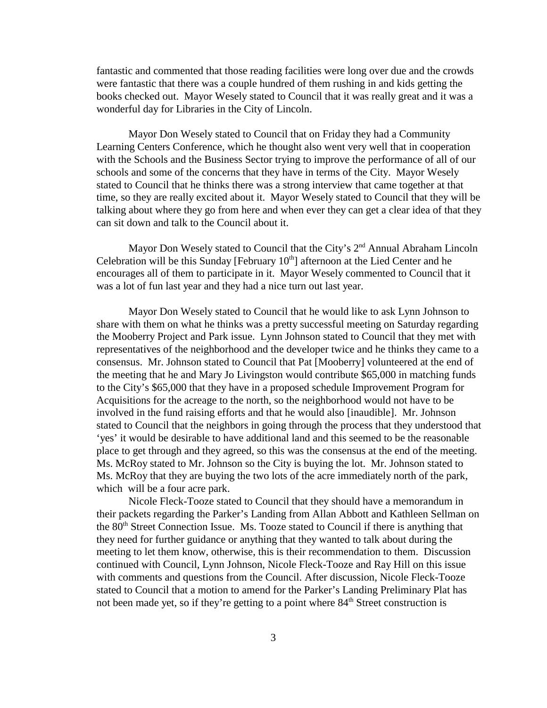fantastic and commented that those reading facilities were long over due and the crowds were fantastic that there was a couple hundred of them rushing in and kids getting the books checked out. Mayor Wesely stated to Council that it was really great and it was a wonderful day for Libraries in the City of Lincoln.

Mayor Don Wesely stated to Council that on Friday they had a Community Learning Centers Conference, which he thought also went very well that in cooperation with the Schools and the Business Sector trying to improve the performance of all of our schools and some of the concerns that they have in terms of the City. Mayor Wesely stated to Council that he thinks there was a strong interview that came together at that time, so they are really excited about it. Mayor Wesely stated to Council that they will be talking about where they go from here and when ever they can get a clear idea of that they can sit down and talk to the Council about it.

Mayor Don Wesely stated to Council that the City's 2<sup>nd</sup> Annual Abraham Lincoln Celebration will be this Sunday [February  $10<sup>th</sup>$ ] afternoon at the Lied Center and he encourages all of them to participate in it. Mayor Wesely commented to Council that it was a lot of fun last year and they had a nice turn out last year.

Mayor Don Wesely stated to Council that he would like to ask Lynn Johnson to share with them on what he thinks was a pretty successful meeting on Saturday regarding the Mooberry Project and Park issue. Lynn Johnson stated to Council that they met with representatives of the neighborhood and the developer twice and he thinks they came to a consensus. Mr. Johnson stated to Council that Pat [Mooberry] volunteered at the end of the meeting that he and Mary Jo Livingston would contribute \$65,000 in matching funds to the City's \$65,000 that they have in a proposed schedule Improvement Program for Acquisitions for the acreage to the north, so the neighborhood would not have to be involved in the fund raising efforts and that he would also [inaudible]. Mr. Johnson stated to Council that the neighbors in going through the process that they understood that 'yes' it would be desirable to have additional land and this seemed to be the reasonable place to get through and they agreed, so this was the consensus at the end of the meeting. Ms. McRoy stated to Mr. Johnson so the City is buying the lot. Mr. Johnson stated to Ms. McRoy that they are buying the two lots of the acre immediately north of the park, which will be a four acre park.

Nicole Fleck-Tooze stated to Council that they should have a memorandum in their packets regarding the Parker's Landing from Allan Abbott and Kathleen Sellman on the 80<sup>th</sup> Street Connection Issue. Ms. Tooze stated to Council if there is anything that they need for further guidance or anything that they wanted to talk about during the meeting to let them know, otherwise, this is their recommendation to them. Discussion continued with Council, Lynn Johnson, Nicole Fleck-Tooze and Ray Hill on this issue with comments and questions from the Council. After discussion, Nicole Fleck-Tooze stated to Council that a motion to amend for the Parker's Landing Preliminary Plat has not been made yet, so if they're getting to a point where  $84<sup>th</sup>$  Street construction is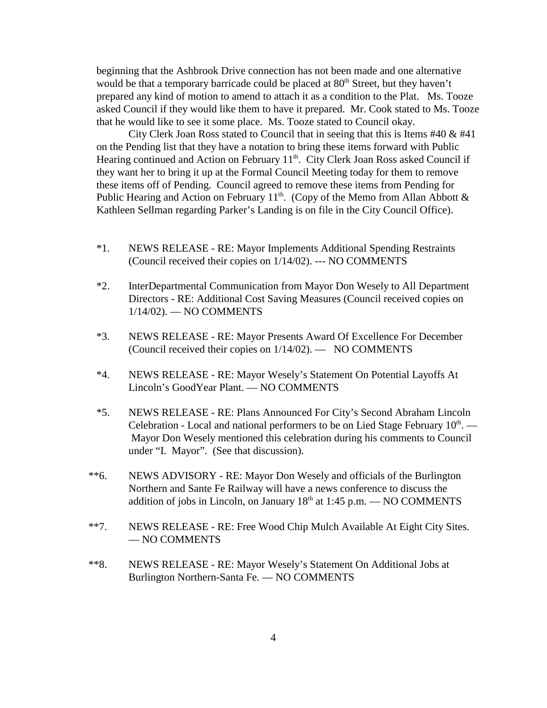beginning that the Ashbrook Drive connection has not been made and one alternative would be that a temporary barricade could be placed at  $80<sup>th</sup>$  Street, but they haven't prepared any kind of motion to amend to attach it as a condition to the Plat. Ms. Tooze asked Council if they would like them to have it prepared. Mr. Cook stated to Ms. Tooze that he would like to see it some place. Ms. Tooze stated to Council okay.

City Clerk Joan Ross stated to Council that in seeing that this is Items #40 & #41 on the Pending list that they have a notation to bring these items forward with Public Hearing continued and Action on February 11<sup>th</sup>. City Clerk Joan Ross asked Council if they want her to bring it up at the Formal Council Meeting today for them to remove these items off of Pending. Council agreed to remove these items from Pending for Public Hearing and Action on February 11<sup>th</sup>. (Copy of the Memo from Allan Abbott  $\&$ Kathleen Sellman regarding Parker's Landing is on file in the City Council Office).

- \*1. NEWS RELEASE RE: Mayor Implements Additional Spending Restraints (Council received their copies on 1/14/02). --- NO COMMENTS
- \*2. InterDepartmental Communication from Mayor Don Wesely to All Department Directors - RE: Additional Cost Saving Measures (Council received copies on 1/14/02). — NO COMMENTS
- \*3. NEWS RELEASE RE: Mayor Presents Award Of Excellence For December (Council received their copies on 1/14/02). — NO COMMENTS
- \*4. NEWS RELEASE RE: Mayor Wesely's Statement On Potential Layoffs At Lincoln's GoodYear Plant. — NO COMMENTS
- \*5. NEWS RELEASE RE: Plans Announced For City's Second Abraham Lincoln Celebration - Local and national performers to be on Lied Stage February  $10<sup>th</sup>$ . — Mayor Don Wesely mentioned this celebration during his comments to Council under "I. Mayor". (See that discussion).
- \*\*6. NEWS ADVISORY RE: Mayor Don Wesely and officials of the Burlington Northern and Sante Fe Railway will have a news conference to discuss the addition of jobs in Lincoln, on January  $18<sup>th</sup>$  at 1:45 p.m. — NO COMMENTS
- \*\*7. NEWS RELEASE RE: Free Wood Chip Mulch Available At Eight City Sites. — NO COMMENTS
- \*\*8. NEWS RELEASE RE: Mayor Wesely's Statement On Additional Jobs at Burlington Northern-Santa Fe. — NO COMMENTS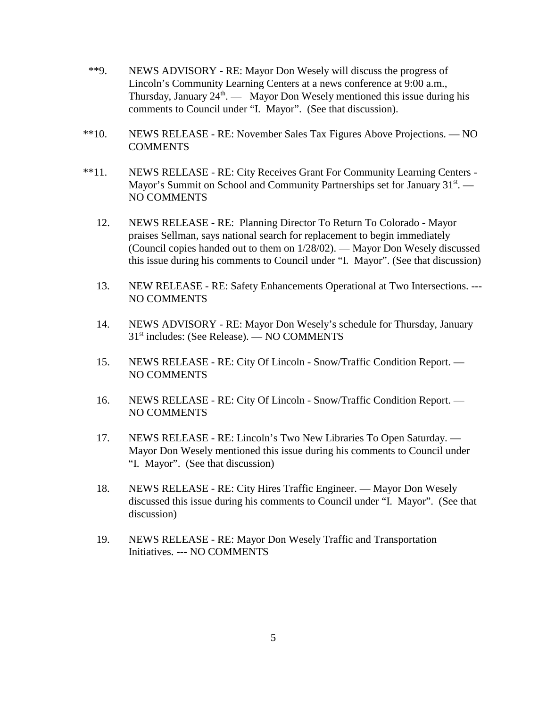- \*\*9. NEWS ADVISORY RE: Mayor Don Wesely will discuss the progress of Lincoln's Community Learning Centers at a news conference at 9:00 a.m., Thursday, January  $24<sup>th</sup>$ . — Mayor Don Wesely mentioned this issue during his comments to Council under "I. Mayor". (See that discussion).
- \*\*10. NEWS RELEASE RE: November Sales Tax Figures Above Projections. NO COMMENTS
- \*\*11. NEWS RELEASE RE: City Receives Grant For Community Learning Centers Mayor's Summit on School and Community Partnerships set for January  $31<sup>st</sup>$ . NO COMMENTS
	- 12. NEWS RELEASE RE: Planning Director To Return To Colorado Mayor praises Sellman, says national search for replacement to begin immediately (Council copies handed out to them on 1/28/02). — Mayor Don Wesely discussed this issue during his comments to Council under "I. Mayor". (See that discussion)
	- 13. NEW RELEASE RE: Safety Enhancements Operational at Two Intersections. --- NO COMMENTS
	- 14. NEWS ADVISORY RE: Mayor Don Wesely's schedule for Thursday, January 31st includes: (See Release). — NO COMMENTS
	- 15. NEWS RELEASE RE: City Of Lincoln Snow/Traffic Condition Report. NO COMMENTS
	- 16. NEWS RELEASE RE: City Of Lincoln Snow/Traffic Condition Report. NO COMMENTS
	- 17. NEWS RELEASE RE: Lincoln's Two New Libraries To Open Saturday. Mayor Don Wesely mentioned this issue during his comments to Council under "I. Mayor". (See that discussion)
	- 18. NEWS RELEASE RE: City Hires Traffic Engineer. Mayor Don Wesely discussed this issue during his comments to Council under "I. Mayor". (See that discussion)
	- 19. NEWS RELEASE RE: Mayor Don Wesely Traffic and Transportation Initiatives. --- NO COMMENTS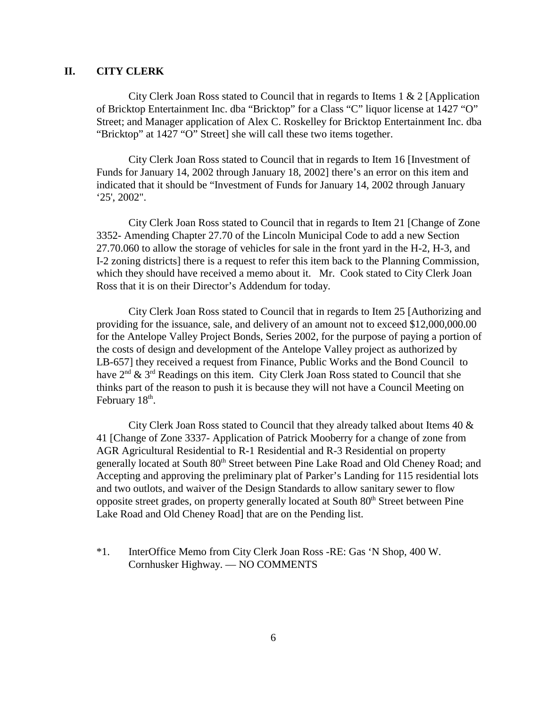## **II. CITY CLERK**

City Clerk Joan Ross stated to Council that in regards to Items 1 & 2 [Application of Bricktop Entertainment Inc. dba "Bricktop" for a Class "C" liquor license at 1427 "O" Street; and Manager application of Alex C. Roskelley for Bricktop Entertainment Inc. dba "Bricktop" at 1427 "O" Street] she will call these two items together.

City Clerk Joan Ross stated to Council that in regards to Item 16 [Investment of Funds for January 14, 2002 through January 18, 2002] there's an error on this item and indicated that it should be "Investment of Funds for January 14, 2002 through January '25', 2002".

City Clerk Joan Ross stated to Council that in regards to Item 21 [Change of Zone 3352- Amending Chapter 27.70 of the Lincoln Municipal Code to add a new Section 27.70.060 to allow the storage of vehicles for sale in the front yard in the H-2, H-3, and I-2 zoning districts] there is a request to refer this item back to the Planning Commission, which they should have received a memo about it. Mr. Cook stated to City Clerk Joan Ross that it is on their Director's Addendum for today.

City Clerk Joan Ross stated to Council that in regards to Item 25 [Authorizing and providing for the issuance, sale, and delivery of an amount not to exceed \$12,000,000.00 for the Antelope Valley Project Bonds, Series 2002, for the purpose of paying a portion of the costs of design and development of the Antelope Valley project as authorized by LB-657] they received a request from Finance, Public Works and the Bond Council to have  $2<sup>nd</sup>$  &  $3<sup>rd</sup>$  Readings on this item. City Clerk Joan Ross stated to Council that she thinks part of the reason to push it is because they will not have a Council Meeting on February 18<sup>th</sup>.

City Clerk Joan Ross stated to Council that they already talked about Items 40 & 41 [Change of Zone 3337- Application of Patrick Mooberry for a change of zone from AGR Agricultural Residential to R-1 Residential and R-3 Residential on property generally located at South 80<sup>th</sup> Street between Pine Lake Road and Old Cheney Road; and Accepting and approving the preliminary plat of Parker's Landing for 115 residential lots and two outlots, and waiver of the Design Standards to allow sanitary sewer to flow opposite street grades, on property generally located at South 80<sup>th</sup> Street between Pine Lake Road and Old Cheney Road] that are on the Pending list.

\*1. InterOffice Memo from City Clerk Joan Ross -RE: Gas 'N Shop, 400 W. Cornhusker Highway. — NO COMMENTS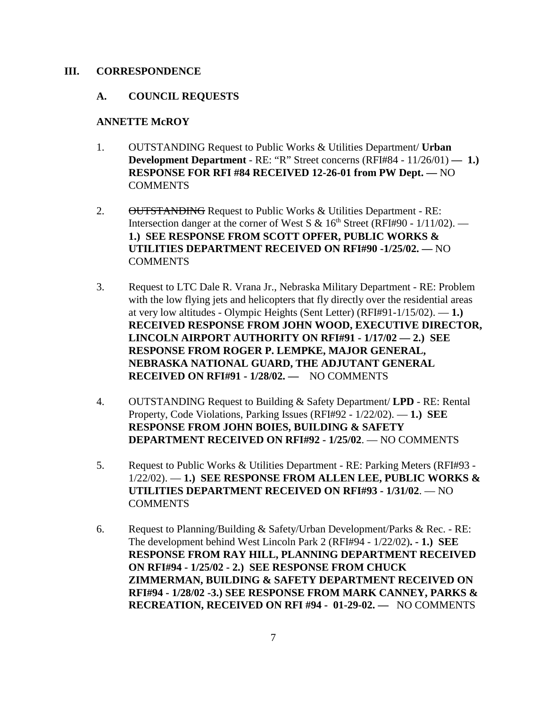#### **III. CORRESPONDENCE**

#### **A. COUNCIL REQUESTS**

#### **ANNETTE McROY**

- 1. OUTSTANDING Request to Public Works & Utilities Department/ **Urban Development Department** - RE: "R" Street concerns (RFI#84 - 11/26/01) — 1.) **RESPONSE FOR RFI #84 RECEIVED 12-26-01 from PW Dept. —** NO **COMMENTS**
- 2. OUTSTANDING Request to Public Works & Utilities Department RE: Intersection danger at the corner of West S &  $16<sup>th</sup>$  Street (RFI#90 - 1/11/02). — **1.) SEE RESPONSE FROM SCOTT OPFER, PUBLIC WORKS & UTILITIES DEPARTMENT RECEIVED ON RFI#90 -1/25/02. —** NO **COMMENTS**
- 3. Request to LTC Dale R. Vrana Jr., Nebraska Military Department RE: Problem with the low flying jets and helicopters that fly directly over the residential areas at very low altitudes - Olympic Heights (Sent Letter) (RFI#91-1/15/02). — **1.) RECEIVED RESPONSE FROM JOHN WOOD, EXECUTIVE DIRECTOR, LINCOLN AIRPORT AUTHORITY ON RFI#91 - 1/17/02 — 2.) SEE RESPONSE FROM ROGER P. LEMPKE, MAJOR GENERAL, NEBRASKA NATIONAL GUARD, THE ADJUTANT GENERAL RECEIVED ON RFI#91 - 1/28/02. —** NO COMMENTS
- 4. OUTSTANDING Request to Building & Safety Department/ **LPD** RE: Rental Property, Code Violations, Parking Issues (RFI#92 - 1/22/02). — **1.) SEE RESPONSE FROM JOHN BOIES, BUILDING & SAFETY DEPARTMENT RECEIVED ON RFI#92 - 1/25/02**. — NO COMMENTS
- 5. Request to Public Works & Utilities Department RE: Parking Meters (RFI#93 1/22/02). — **1.) SEE RESPONSE FROM ALLEN LEE, PUBLIC WORKS & UTILITIES DEPARTMENT RECEIVED ON RFI#93 - 1/31/02**. — NO COMMENTS
- 6. Request to Planning/Building & Safety/Urban Development/Parks & Rec. RE: The development behind West Lincoln Park 2 (RFI#94 - 1/22/02)**. - 1.) SEE RESPONSE FROM RAY HILL, PLANNING DEPARTMENT RECEIVED ON RFI#94 - 1/25/02 - 2.) SEE RESPONSE FROM CHUCK ZIMMERMAN, BUILDING & SAFETY DEPARTMENT RECEIVED ON RFI#94 - 1/28/02 -3.) SEE RESPONSE FROM MARK CANNEY, PARKS & RECREATION, RECEIVED ON RFI #94 - 01-29-02. —** NO COMMENTS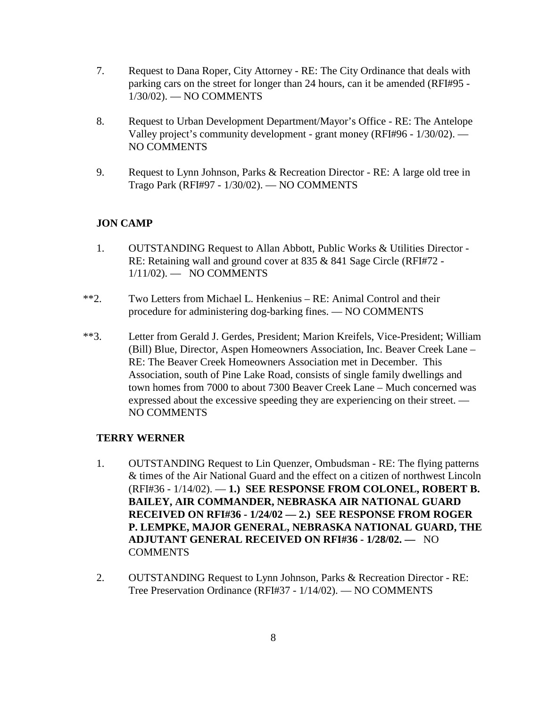- 7. Request to Dana Roper, City Attorney RE: The City Ordinance that deals with parking cars on the street for longer than 24 hours, can it be amended (RFI#95 - 1/30/02). — NO COMMENTS
- 8. Request to Urban Development Department/Mayor's Office RE: The Antelope Valley project's community development - grant money (RFI#96 - 1/30/02). — NO COMMENTS
- 9. Request to Lynn Johnson, Parks & Recreation Director RE: A large old tree in Trago Park (RFI#97 - 1/30/02). — NO COMMENTS

## **JON CAMP**

- 1. OUTSTANDING Request to Allan Abbott, Public Works & Utilities Director RE: Retaining wall and ground cover at 835 & 841 Sage Circle (RFI#72 - 1/11/02). — NO COMMENTS
- \*\*2. Two Letters from Michael L. Henkenius RE: Animal Control and their procedure for administering dog-barking fines. — NO COMMENTS
- \*\*3. Letter from Gerald J. Gerdes, President; Marion Kreifels, Vice-President; William (Bill) Blue, Director, Aspen Homeowners Association, Inc. Beaver Creek Lane – RE: The Beaver Creek Homeowners Association met in December. This Association, south of Pine Lake Road, consists of single family dwellings and town homes from 7000 to about 7300 Beaver Creek Lane – Much concerned was expressed about the excessive speeding they are experiencing on their street. — NO COMMENTS

## **TERRY WERNER**

- 1. OUTSTANDING Request to Lin Quenzer, Ombudsman RE: The flying patterns & times of the Air National Guard and the effect on a citizen of northwest Lincoln (RFI#36 - 1/14/02). — **1.) SEE RESPONSE FROM COLONEL, ROBERT B. BAILEY, AIR COMMANDER, NEBRASKA AIR NATIONAL GUARD RECEIVED ON RFI#36 - 1/24/02 — 2.) SEE RESPONSE FROM ROGER P. LEMPKE, MAJOR GENERAL, NEBRASKA NATIONAL GUARD, THE ADJUTANT GENERAL RECEIVED ON RFI#36 - 1/28/02. —** NO **COMMENTS**
- 2. OUTSTANDING Request to Lynn Johnson, Parks & Recreation Director RE: Tree Preservation Ordinance (RFI#37 - 1/14/02). — NO COMMENTS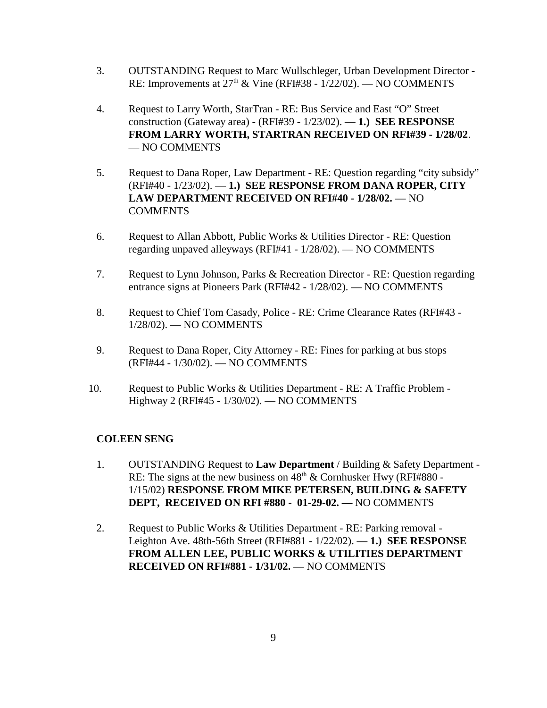- 3. OUTSTANDING Request to Marc Wullschleger, Urban Development Director RE: Improvements at  $27<sup>th</sup>$  & Vine (RFI#38 - 1/22/02). — NO COMMENTS
- 4. Request to Larry Worth, StarTran RE: Bus Service and East "O" Street construction (Gateway area) - (RFI#39 - 1/23/02). — **1.) SEE RESPONSE FROM LARRY WORTH, STARTRAN RECEIVED ON RFI#39 - 1/28/02**. — NO COMMENTS
- 5. Request to Dana Roper, Law Department RE: Question regarding "city subsidy" (RFI#40 - 1/23/02). — **1.) SEE RESPONSE FROM DANA ROPER, CITY LAW DEPARTMENT RECEIVED ON RFI#40 - 1/28/02. —** NO **COMMENTS**
- 6. Request to Allan Abbott, Public Works & Utilities Director RE: Question regarding unpaved alleyways (RFI#41 - 1/28/02). — NO COMMENTS
- 7. Request to Lynn Johnson, Parks & Recreation Director RE: Question regarding entrance signs at Pioneers Park (RFI#42 - 1/28/02). — NO COMMENTS
- 8. Request to Chief Tom Casady, Police RE: Crime Clearance Rates (RFI#43 1/28/02). — NO COMMENTS
- 9. Request to Dana Roper, City Attorney RE: Fines for parking at bus stops (RFI#44 - 1/30/02). — NO COMMENTS
- 10. Request to Public Works & Utilities Department RE: A Traffic Problem Highway 2 (RFI#45 - 1/30/02). — NO COMMENTS

## **COLEEN SENG**

- 1. OUTSTANDING Request to **Law Department** / Building & Safety Department RE: The signs at the new business on  $48<sup>th</sup>$  & Cornhusker Hwy (RFI#880 -1/15/02) **RESPONSE FROM MIKE PETERSEN, BUILDING & SAFETY DEPT, RECEIVED ON RFI #880** - **01-29-02. —** NO COMMENTS
- 2. Request to Public Works & Utilities Department RE: Parking removal Leighton Ave. 48th-56th Street (RFI#881 - 1/22/02). — **1.) SEE RESPONSE FROM ALLEN LEE, PUBLIC WORKS & UTILITIES DEPARTMENT RECEIVED ON RFI#881 - 1/31/02. —** NO COMMENTS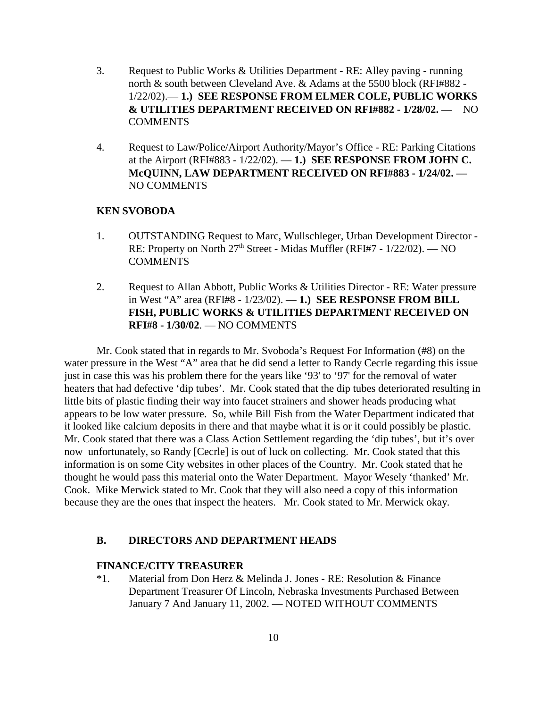- 3. Request to Public Works & Utilities Department RE: Alley paving running north & south between Cleveland Ave. & Adams at the 5500 block (RFI#882 - 1/22/02).— **1.) SEE RESPONSE FROM ELMER COLE, PUBLIC WORKS & UTILITIES DEPARTMENT RECEIVED ON RFI#882 - 1/28/02. —** NO COMMENTS
- 4. Request to Law/Police/Airport Authority/Mayor's Office RE: Parking Citations at the Airport (RFI#883 - 1/22/02). — **1.) SEE RESPONSE FROM JOHN C. McQUINN, LAW DEPARTMENT RECEIVED ON RFI#883 - 1/24/02. —** NO COMMENTS

#### **KEN SVOBODA**

- 1. OUTSTANDING Request to Marc, Wullschleger, Urban Development Director RE: Property on North 27<sup>th</sup> Street - Midas Muffler (RFI#7 - 1/22/02). — NO **COMMENTS**
- 2. Request to Allan Abbott, Public Works & Utilities Director RE: Water pressure in West "A" area (RFI#8 - 1/23/02). — **1.) SEE RESPONSE FROM BILL FISH, PUBLIC WORKS & UTILITIES DEPARTMENT RECEIVED ON RFI#8 - 1/30/02**. — NO COMMENTS

Mr. Cook stated that in regards to Mr. Svoboda's Request For Information (#8) on the water pressure in the West "A" area that he did send a letter to Randy Cecrle regarding this issue just in case this was his problem there for the years like '93' to '97' for the removal of water heaters that had defective 'dip tubes'. Mr. Cook stated that the dip tubes deteriorated resulting in little bits of plastic finding their way into faucet strainers and shower heads producing what appears to be low water pressure. So, while Bill Fish from the Water Department indicated that it looked like calcium deposits in there and that maybe what it is or it could possibly be plastic. Mr. Cook stated that there was a Class Action Settlement regarding the 'dip tubes', but it's over now unfortunately, so Randy [Cecrle] is out of luck on collecting. Mr. Cook stated that this information is on some City websites in other places of the Country. Mr. Cook stated that he thought he would pass this material onto the Water Department. Mayor Wesely 'thanked' Mr. Cook. Mike Merwick stated to Mr. Cook that they will also need a copy of this information because they are the ones that inspect the heaters. Mr. Cook stated to Mr. Merwick okay.

#### **B. DIRECTORS AND DEPARTMENT HEADS**

#### **FINANCE/CITY TREASURER**

\*1. Material from Don Herz & Melinda J. Jones - RE: Resolution & Finance Department Treasurer Of Lincoln, Nebraska Investments Purchased Between January 7 And January 11, 2002. — NOTED WITHOUT COMMENTS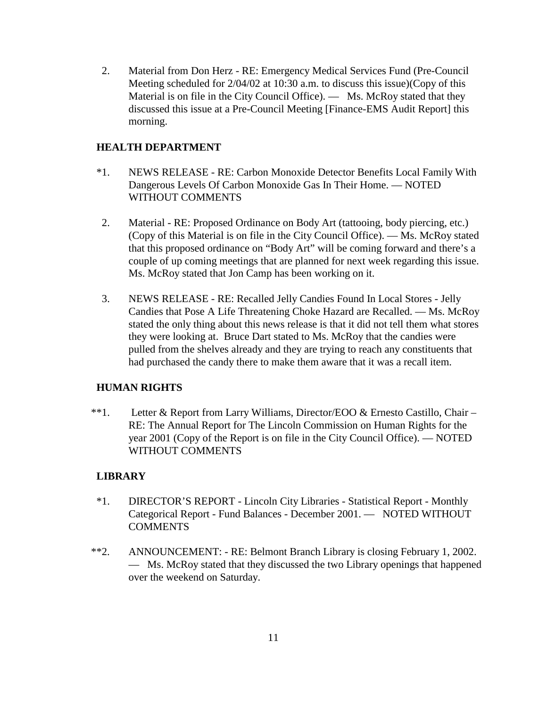2. Material from Don Herz - RE: Emergency Medical Services Fund (Pre-Council Meeting scheduled for 2/04/02 at 10:30 a.m. to discuss this issue)(Copy of this Material is on file in the City Council Office). — Ms. McRoy stated that they discussed this issue at a Pre-Council Meeting [Finance-EMS Audit Report] this morning.

## **HEALTH DEPARTMENT**

- \*1. NEWS RELEASE RE: Carbon Monoxide Detector Benefits Local Family With Dangerous Levels Of Carbon Monoxide Gas In Their Home. — NOTED WITHOUT COMMENTS
- 2. Material RE: Proposed Ordinance on Body Art (tattooing, body piercing, etc.) (Copy of this Material is on file in the City Council Office). — Ms. McRoy stated that this proposed ordinance on "Body Art" will be coming forward and there's a couple of up coming meetings that are planned for next week regarding this issue. Ms. McRoy stated that Jon Camp has been working on it.
- 3. NEWS RELEASE RE: Recalled Jelly Candies Found In Local Stores Jelly Candies that Pose A Life Threatening Choke Hazard are Recalled. — Ms. McRoy stated the only thing about this news release is that it did not tell them what stores they were looking at. Bruce Dart stated to Ms. McRoy that the candies were pulled from the shelves already and they are trying to reach any constituents that had purchased the candy there to make them aware that it was a recall item.

## **HUMAN RIGHTS**

 \*\*1. Letter & Report from Larry Williams, Director/EOO & Ernesto Castillo, Chair – RE: The Annual Report for The Lincoln Commission on Human Rights for the year 2001 (Copy of the Report is on file in the City Council Office). — NOTED WITHOUT COMMENTS

## **LIBRARY**

- \*1. DIRECTOR'S REPORT Lincoln City Libraries Statistical Report Monthly Categorical Report - Fund Balances - December 2001. — NOTED WITHOUT **COMMENTS**
- \*\*2. ANNOUNCEMENT: RE: Belmont Branch Library is closing February 1, 2002. — Ms. McRoy stated that they discussed the two Library openings that happened over the weekend on Saturday.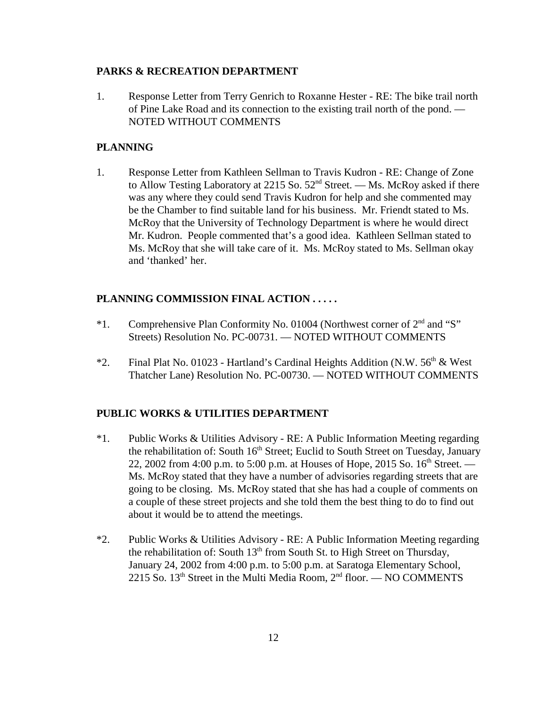#### **PARKS & RECREATION DEPARTMENT**

1. Response Letter from Terry Genrich to Roxanne Hester - RE: The bike trail north of Pine Lake Road and its connection to the existing trail north of the pond. — NOTED WITHOUT COMMENTS

## **PLANNING**

1. Response Letter from Kathleen Sellman to Travis Kudron - RE: Change of Zone to Allow Testing Laboratory at 2215 So.  $52<sup>nd</sup>$  Street. — Ms. McRoy asked if there was any where they could send Travis Kudron for help and she commented may be the Chamber to find suitable land for his business. Mr. Friendt stated to Ms. McRoy that the University of Technology Department is where he would direct Mr. Kudron. People commented that's a good idea. Kathleen Sellman stated to Ms. McRoy that she will take care of it. Ms. McRoy stated to Ms. Sellman okay and 'thanked' her.

## **PLANNING COMMISSION FINAL ACTION . . . . .**

- \*1. Comprehensive Plan Conformity No. 01004 (Northwest corner of  $2<sup>nd</sup>$  and "S" Streets) Resolution No. PC-00731. — NOTED WITHOUT COMMENTS
- \*2. Final Plat No. 01023 Hartland's Cardinal Heights Addition (N.W.  $56<sup>th</sup>$  & West Thatcher Lane) Resolution No. PC-00730. — NOTED WITHOUT COMMENTS

## **PUBLIC WORKS & UTILITIES DEPARTMENT**

- \*1. Public Works & Utilities Advisory RE: A Public Information Meeting regarding the rehabilitation of: South 16<sup>th</sup> Street; Euclid to South Street on Tuesday, January 22, 2002 from 4:00 p.m. to 5:00 p.m. at Houses of Hope, 2015 So.  $16^{th}$  Street. — Ms. McRoy stated that they have a number of advisories regarding streets that are going to be closing. Ms. McRoy stated that she has had a couple of comments on a couple of these street projects and she told them the best thing to do to find out about it would be to attend the meetings.
- \*2. Public Works & Utilities Advisory RE: A Public Information Meeting regarding the rehabilitation of: South  $13<sup>th</sup>$  from South St. to High Street on Thursday, January 24, 2002 from 4:00 p.m. to 5:00 p.m. at Saratoga Elementary School, 2215 So.  $13<sup>th</sup>$  Street in the Multi Media Room,  $2<sup>nd</sup>$  floor. — NO COMMENTS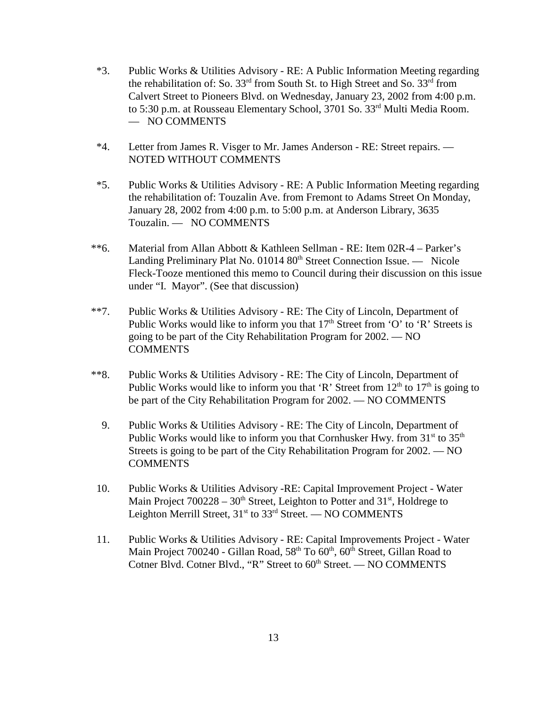- \*3. Public Works & Utilities Advisory RE: A Public Information Meeting regarding the rehabilitation of: So.  $33<sup>rd</sup>$  from South St. to High Street and So.  $33<sup>rd</sup>$  from Calvert Street to Pioneers Blvd. on Wednesday, January 23, 2002 from 4:00 p.m. to 5:30 p.m. at Rousseau Elementary School, 3701 So. 33<sup>rd</sup> Multi Media Room. — NO COMMENTS
- \*4. Letter from James R. Visger to Mr. James Anderson RE: Street repairs. NOTED WITHOUT COMMENTS
- \*5. Public Works & Utilities Advisory RE: A Public Information Meeting regarding the rehabilitation of: Touzalin Ave. from Fremont to Adams Street On Monday, January 28, 2002 from 4:00 p.m. to 5:00 p.m. at Anderson Library, 3635 Touzalin. — NO COMMENTS
- \*\*6. Material from Allan Abbott & Kathleen Sellman RE: Item 02R-4 Parker's Landing Preliminary Plat No. 01014 80<sup>th</sup> Street Connection Issue. — Nicole Fleck-Tooze mentioned this memo to Council during their discussion on this issue under "I. Mayor". (See that discussion)
- \*\*7. Public Works & Utilities Advisory RE: The City of Lincoln, Department of Public Works would like to inform you that  $17<sup>th</sup>$  Street from 'O' to 'R' Streets is going to be part of the City Rehabilitation Program for 2002. — NO **COMMENTS**
- \*\*8. Public Works & Utilities Advisory RE: The City of Lincoln, Department of Public Works would like to inform you that 'R' Street from  $12<sup>th</sup>$  to  $17<sup>th</sup>$  is going to be part of the City Rehabilitation Program for 2002. — NO COMMENTS
	- 9. Public Works & Utilities Advisory RE: The City of Lincoln, Department of Public Works would like to inform you that Cornhusker Hwy. from  $31<sup>st</sup>$  to  $35<sup>th</sup>$ Streets is going to be part of the City Rehabilitation Program for 2002. — NO COMMENTS
- 10. Public Works & Utilities Advisory -RE: Capital Improvement Project Water Main Project  $700228 - 30<sup>th</sup>$  Street, Leighton to Potter and  $31<sup>st</sup>$ , Holdrege to Leighton Merrill Street,  $31<sup>st</sup>$  to  $33<sup>rd</sup>$  Street. — NO COMMENTS
- 11. Public Works & Utilities Advisory RE: Capital Improvements Project Water Main Project 700240 - Gillan Road,  $58<sup>th</sup>$  To  $60<sup>th</sup>$ ,  $60<sup>th</sup>$  Street, Gillan Road to Cotner Blvd. Cotner Blvd., "R" Street to  $60<sup>th</sup>$  Street. — NO COMMENTS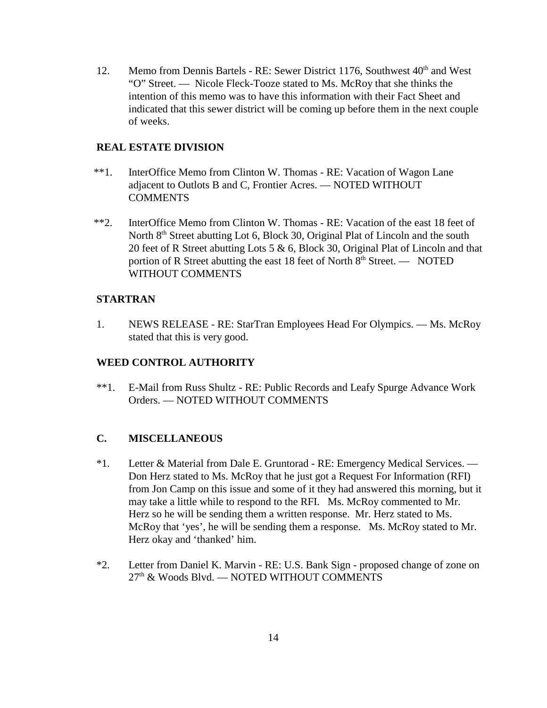12. Memo from Dennis Bartels - RE: Sewer District 1176, Southwest 40<sup>th</sup> and West "O" Street. — Nicole Fleck-Tooze stated to Ms. McRoy that she thinks the intention of this memo was to have this information with their Fact Sheet and indicated that this sewer district will be coming up before them in the next couple of weeks.

## **REAL ESTATE DIVISION**

- \*\*1. InterOffice Memo from Clinton W. Thomas RE: Vacation of Wagon Lane adjacent to Outlots B and C, Frontier Acres. — NOTED WITHOUT **COMMENTS**
- \*\*2. InterOffice Memo from Clinton W. Thomas RE: Vacation of the east 18 feet of North 8<sup>th</sup> Street abutting Lot 6, Block 30, Original Plat of Lincoln and the south 20 feet of R Street abutting Lots 5 & 6, Block 30, Original Plat of Lincoln and that portion of R Street abutting the east 18 feet of North  $8<sup>th</sup>$  Street. — NOTED WITHOUT COMMENTS

## **STARTRAN**

1. NEWS RELEASE - RE: StarTran Employees Head For Olympics. — Ms. McRoy stated that this is very good.

## **WEED CONTROL AUTHORITY**

\*\*1. E-Mail from Russ Shultz - RE: Public Records and Leafy Spurge Advance Work Orders. — NOTED WITHOUT COMMENTS

## **C. MISCELLANEOUS**

- \*1. Letter & Material from Dale E. Gruntorad RE: Emergency Medical Services. Don Herz stated to Ms. McRoy that he just got a Request For Information (RFI) from Jon Camp on this issue and some of it they had answered this morning, but it may take a little while to respond to the RFI. Ms. McRoy commented to Mr. Herz so he will be sending them a written response. Mr. Herz stated to Ms. McRoy that 'yes', he will be sending them a response. Ms. McRoy stated to Mr. Herz okay and 'thanked' him.
- \*2. Letter from Daniel K. Marvin RE: U.S. Bank Sign proposed change of zone on 27<sup>th</sup> & Woods Blvd. — NOTED WITHOUT COMMENTS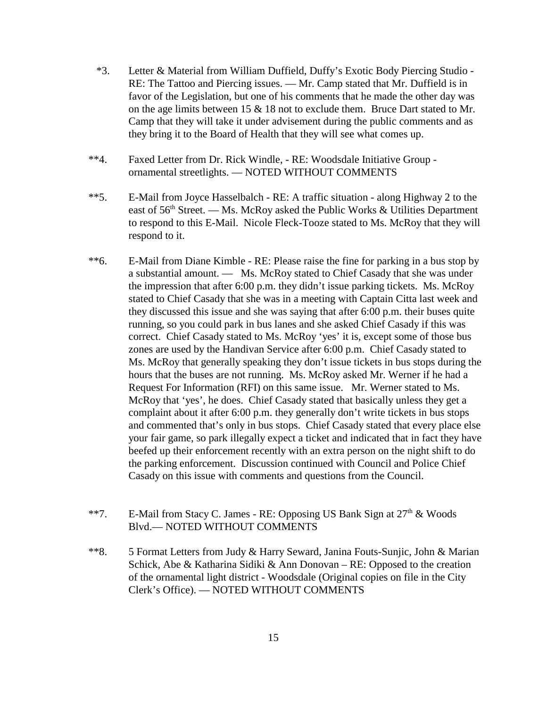- \*3. Letter & Material from William Duffield, Duffy's Exotic Body Piercing Studio RE: The Tattoo and Piercing issues. — Mr. Camp stated that Mr. Duffield is in favor of the Legislation, but one of his comments that he made the other day was on the age limits between 15 & 18 not to exclude them. Bruce Dart stated to Mr. Camp that they will take it under advisement during the public comments and as they bring it to the Board of Health that they will see what comes up.
- \*\*4. Faxed Letter from Dr. Rick Windle, RE: Woodsdale Initiative Group ornamental streetlights. — NOTED WITHOUT COMMENTS
- \*\*5. E-Mail from Joyce Hasselbalch RE: A traffic situation along Highway 2 to the east of 56<sup>th</sup> Street. — Ms. McRoy asked the Public Works & Utilities Department to respond to this E-Mail. Nicole Fleck-Tooze stated to Ms. McRoy that they will respond to it.
- \*\*6. E-Mail from Diane Kimble RE: Please raise the fine for parking in a bus stop by a substantial amount. — Ms. McRoy stated to Chief Casady that she was under the impression that after 6:00 p.m. they didn't issue parking tickets. Ms. McRoy stated to Chief Casady that she was in a meeting with Captain Citta last week and they discussed this issue and she was saying that after 6:00 p.m. their buses quite running, so you could park in bus lanes and she asked Chief Casady if this was correct. Chief Casady stated to Ms. McRoy 'yes' it is, except some of those bus zones are used by the Handivan Service after 6:00 p.m. Chief Casady stated to Ms. McRoy that generally speaking they don't issue tickets in bus stops during the hours that the buses are not running. Ms. McRoy asked Mr. Werner if he had a Request For Information (RFI) on this same issue. Mr. Werner stated to Ms. McRoy that 'yes', he does. Chief Casady stated that basically unless they get a complaint about it after 6:00 p.m. they generally don't write tickets in bus stops and commented that's only in bus stops. Chief Casady stated that every place else your fair game, so park illegally expect a ticket and indicated that in fact they have beefed up their enforcement recently with an extra person on the night shift to do the parking enforcement. Discussion continued with Council and Police Chief Casady on this issue with comments and questions from the Council.
- \*\*7. E-Mail from Stacy C. James RE: Opposing US Bank Sign at  $27<sup>th</sup>$  & Woods Blvd.— NOTED WITHOUT COMMENTS
- \*\*8. 5 Format Letters from Judy & Harry Seward, Janina Fouts-Sunjic, John & Marian Schick, Abe & Katharina Sidiki & Ann Donovan – RE: Opposed to the creation of the ornamental light district - Woodsdale (Original copies on file in the City Clerk's Office). — NOTED WITHOUT COMMENTS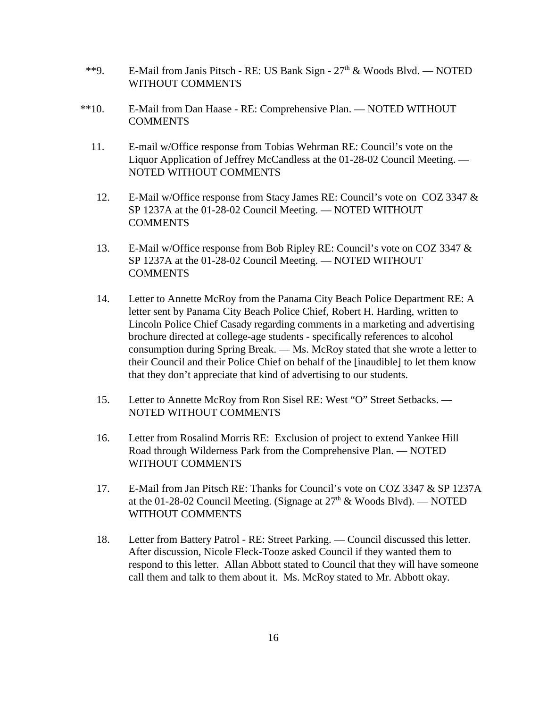- \*\*9. E-Mail from Janis Pitsch RE: US Bank Sign  $27<sup>th</sup>$  & Woods Blvd. NOTED WITHOUT COMMENTS
- \*\*10. E-Mail from Dan Haase RE: Comprehensive Plan. NOTED WITHOUT **COMMENTS** 
	- 11. E-mail w/Office response from Tobias Wehrman RE: Council's vote on the Liquor Application of Jeffrey McCandless at the 01-28-02 Council Meeting. — NOTED WITHOUT COMMENTS
		- 12. E-Mail w/Office response from Stacy James RE: Council's vote on COZ 3347 & SP 1237A at the 01-28-02 Council Meeting. — NOTED WITHOUT COMMENTS
		- 13. E-Mail w/Office response from Bob Ripley RE: Council's vote on COZ 3347 & SP 1237A at the 01-28-02 Council Meeting. — NOTED WITHOUT **COMMENTS**
		- 14. Letter to Annette McRoy from the Panama City Beach Police Department RE: A letter sent by Panama City Beach Police Chief, Robert H. Harding, written to Lincoln Police Chief Casady regarding comments in a marketing and advertising brochure directed at college-age students - specifically references to alcohol consumption during Spring Break. — Ms. McRoy stated that she wrote a letter to their Council and their Police Chief on behalf of the [inaudible] to let them know that they don't appreciate that kind of advertising to our students.
		- 15. Letter to Annette McRoy from Ron Sisel RE: West "O" Street Setbacks. NOTED WITHOUT COMMENTS
		- 16. Letter from Rosalind Morris RE: Exclusion of project to extend Yankee Hill Road through Wilderness Park from the Comprehensive Plan. — NOTED WITHOUT COMMENTS
		- 17. E-Mail from Jan Pitsch RE: Thanks for Council's vote on COZ 3347 & SP 1237A at the 01-28-02 Council Meeting. (Signage at  $27<sup>th</sup>$  & Woods Blvd). — NOTED WITHOUT COMMENTS
		- 18. Letter from Battery Patrol RE: Street Parking. Council discussed this letter. After discussion, Nicole Fleck-Tooze asked Council if they wanted them to respond to this letter. Allan Abbott stated to Council that they will have someone call them and talk to them about it. Ms. McRoy stated to Mr. Abbott okay.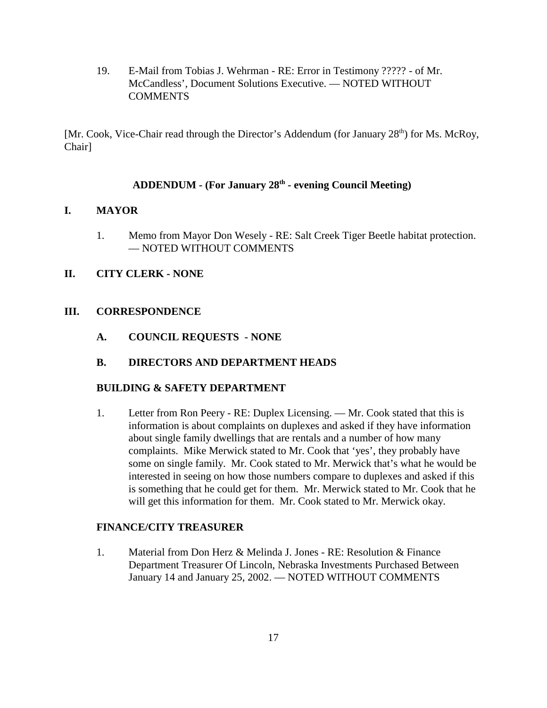19. E-Mail from Tobias J. Wehrman - RE: Error in Testimony ????? - of Mr. McCandless', Document Solutions Executive. — NOTED WITHOUT **COMMENTS** 

[Mr. Cook, Vice-Chair read through the Director's Addendum (for January  $28<sup>th</sup>$ ) for Ms. McRoy, Chair]

## **ADDENDUM - (For January 28th - evening Council Meeting)**

## **I. MAYOR**

1. Memo from Mayor Don Wesely - RE: Salt Creek Tiger Beetle habitat protection. — NOTED WITHOUT COMMENTS

## **II. CITY CLERK - NONE**

## **III. CORRESPONDENCE**

**A. COUNCIL REQUESTS - NONE**

## **B. DIRECTORS AND DEPARTMENT HEADS**

## **BUILDING & SAFETY DEPARTMENT**

1. Letter from Ron Peery - RE: Duplex Licensing. — Mr. Cook stated that this is information is about complaints on duplexes and asked if they have information about single family dwellings that are rentals and a number of how many complaints. Mike Merwick stated to Mr. Cook that 'yes', they probably have some on single family. Mr. Cook stated to Mr. Merwick that's what he would be interested in seeing on how those numbers compare to duplexes and asked if this is something that he could get for them. Mr. Merwick stated to Mr. Cook that he will get this information for them. Mr. Cook stated to Mr. Merwick okay.

## **FINANCE/CITY TREASURER**

1. Material from Don Herz & Melinda J. Jones - RE: Resolution & Finance Department Treasurer Of Lincoln, Nebraska Investments Purchased Between January 14 and January 25, 2002. — NOTED WITHOUT COMMENTS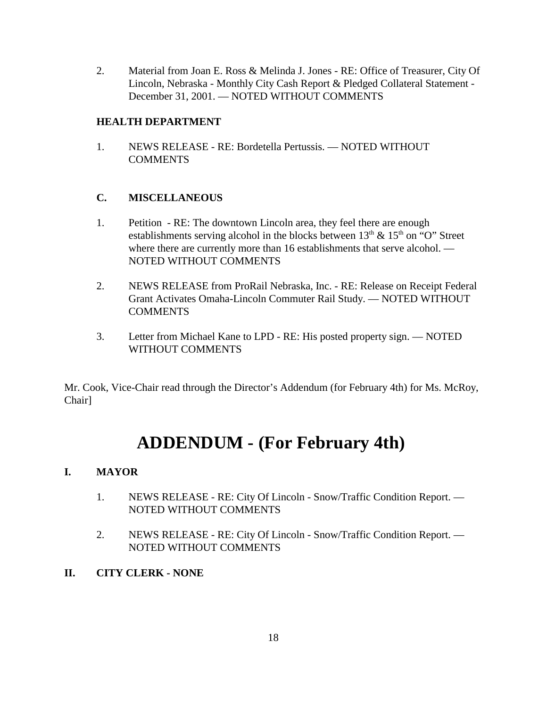2. Material from Joan E. Ross & Melinda J. Jones - RE: Office of Treasurer, City Of Lincoln, Nebraska - Monthly City Cash Report & Pledged Collateral Statement - December 31, 2001. — NOTED WITHOUT COMMENTS

## **HEALTH DEPARTMENT**

1. NEWS RELEASE - RE: Bordetella Pertussis. — NOTED WITHOUT **COMMENTS** 

## **C. MISCELLANEOUS**

- 1. Petition RE: The downtown Lincoln area, they feel there are enough establishments serving alcohol in the blocks between  $13<sup>th</sup>$  &  $15<sup>th</sup>$  on "O" Street where there are currently more than 16 establishments that serve alcohol. — NOTED WITHOUT COMMENTS
- 2. NEWS RELEASE from ProRail Nebraska, Inc. RE: Release on Receipt Federal Grant Activates Omaha-Lincoln Commuter Rail Study. — NOTED WITHOUT COMMENTS
- 3. Letter from Michael Kane to LPD RE: His posted property sign. NOTED WITHOUT COMMENTS

Mr. Cook, Vice-Chair read through the Director's Addendum (for February 4th) for Ms. McRoy, Chair]

# **ADDENDUM - (For February 4th)**

# **I. MAYOR**

- 1. NEWS RELEASE RE: City Of Lincoln Snow/Traffic Condition Report. NOTED WITHOUT COMMENTS
- 2. NEWS RELEASE RE: City Of Lincoln Snow/Traffic Condition Report. NOTED WITHOUT COMMENTS
- **II. CITY CLERK NONE**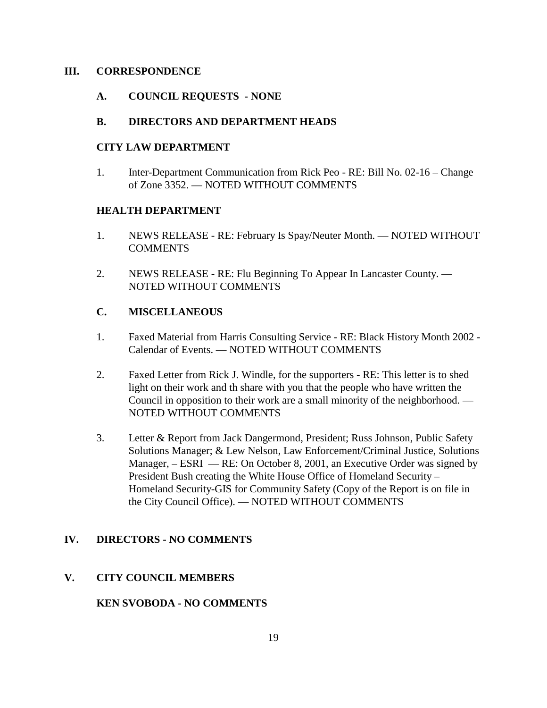#### **III. CORRESPONDENCE**

## **A. COUNCIL REQUESTS - NONE**

## **B. DIRECTORS AND DEPARTMENT HEADS**

## **CITY LAW DEPARTMENT**

1. Inter-Department Communication from Rick Peo - RE: Bill No. 02-16 – Change of Zone 3352. — NOTED WITHOUT COMMENTS

## **HEALTH DEPARTMENT**

- 1. NEWS RELEASE RE: February Is Spay/Neuter Month. NOTED WITHOUT COMMENTS
- 2. NEWS RELEASE RE: Flu Beginning To Appear In Lancaster County. NOTED WITHOUT COMMENTS

## **C. MISCELLANEOUS**

- 1. Faxed Material from Harris Consulting Service RE: Black History Month 2002 Calendar of Events. — NOTED WITHOUT COMMENTS
- 2. Faxed Letter from Rick J. Windle, for the supporters RE: This letter is to shed light on their work and th share with you that the people who have written the Council in opposition to their work are a small minority of the neighborhood. — NOTED WITHOUT COMMENTS
- 3. Letter & Report from Jack Dangermond, President; Russ Johnson, Public Safety Solutions Manager; & Lew Nelson, Law Enforcement/Criminal Justice, Solutions Manager, – ESRI — RE: On October 8, 2001, an Executive Order was signed by President Bush creating the White House Office of Homeland Security – Homeland Security-GIS for Community Safety (Copy of the Report is on file in the City Council Office). — NOTED WITHOUT COMMENTS

## **IV. DIRECTORS - NO COMMENTS**

## **V. CITY COUNCIL MEMBERS**

## **KEN SVOBODA - NO COMMENTS**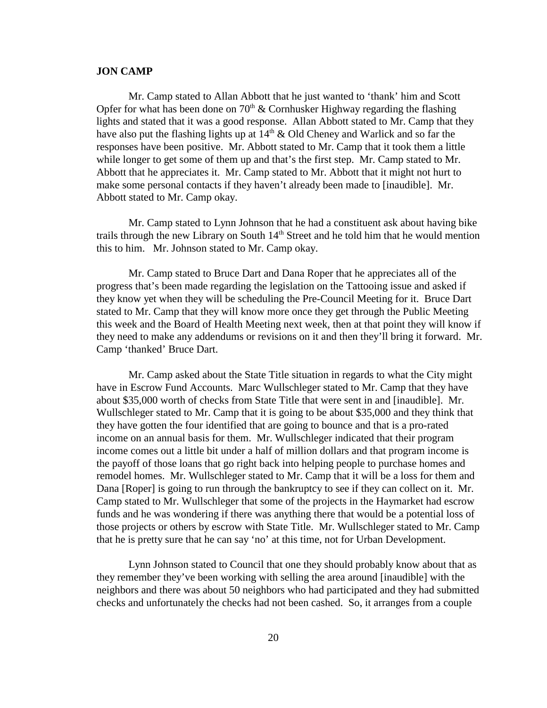#### **JON CAMP**

Mr. Camp stated to Allan Abbott that he just wanted to 'thank' him and Scott Opfer for what has been done on  $70<sup>th</sup>$  & Cornhusker Highway regarding the flashing lights and stated that it was a good response. Allan Abbott stated to Mr. Camp that they have also put the flashing lights up at  $14<sup>th</sup>$  & Old Cheney and Warlick and so far the responses have been positive. Mr. Abbott stated to Mr. Camp that it took them a little while longer to get some of them up and that's the first step. Mr. Camp stated to Mr. Abbott that he appreciates it. Mr. Camp stated to Mr. Abbott that it might not hurt to make some personal contacts if they haven't already been made to [inaudible]. Mr. Abbott stated to Mr. Camp okay.

Mr. Camp stated to Lynn Johnson that he had a constituent ask about having bike trails through the new Library on South  $14<sup>th</sup>$  Street and he told him that he would mention this to him. Mr. Johnson stated to Mr. Camp okay.

Mr. Camp stated to Bruce Dart and Dana Roper that he appreciates all of the progress that's been made regarding the legislation on the Tattooing issue and asked if they know yet when they will be scheduling the Pre-Council Meeting for it. Bruce Dart stated to Mr. Camp that they will know more once they get through the Public Meeting this week and the Board of Health Meeting next week, then at that point they will know if they need to make any addendums or revisions on it and then they'll bring it forward. Mr. Camp 'thanked' Bruce Dart.

Mr. Camp asked about the State Title situation in regards to what the City might have in Escrow Fund Accounts. Marc Wullschleger stated to Mr. Camp that they have about \$35,000 worth of checks from State Title that were sent in and [inaudible]. Mr. Wullschleger stated to Mr. Camp that it is going to be about \$35,000 and they think that they have gotten the four identified that are going to bounce and that is a pro-rated income on an annual basis for them. Mr. Wullschleger indicated that their program income comes out a little bit under a half of million dollars and that program income is the payoff of those loans that go right back into helping people to purchase homes and remodel homes. Mr. Wullschleger stated to Mr. Camp that it will be a loss for them and Dana [Roper] is going to run through the bankruptcy to see if they can collect on it. Mr. Camp stated to Mr. Wullschleger that some of the projects in the Haymarket had escrow funds and he was wondering if there was anything there that would be a potential loss of those projects or others by escrow with State Title. Mr. Wullschleger stated to Mr. Camp that he is pretty sure that he can say 'no' at this time, not for Urban Development.

Lynn Johnson stated to Council that one they should probably know about that as they remember they've been working with selling the area around [inaudible] with the neighbors and there was about 50 neighbors who had participated and they had submitted checks and unfortunately the checks had not been cashed. So, it arranges from a couple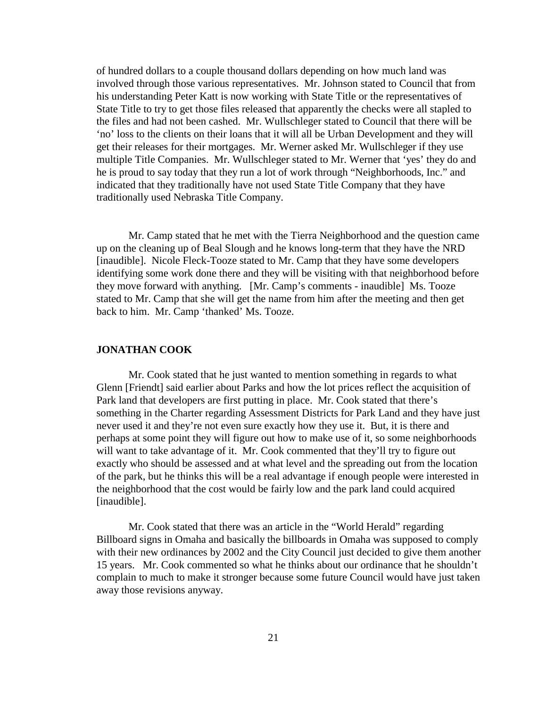of hundred dollars to a couple thousand dollars depending on how much land was involved through those various representatives. Mr. Johnson stated to Council that from his understanding Peter Katt is now working with State Title or the representatives of State Title to try to get those files released that apparently the checks were all stapled to the files and had not been cashed. Mr. Wullschleger stated to Council that there will be 'no' loss to the clients on their loans that it will all be Urban Development and they will get their releases for their mortgages. Mr. Werner asked Mr. Wullschleger if they use multiple Title Companies. Mr. Wullschleger stated to Mr. Werner that 'yes' they do and he is proud to say today that they run a lot of work through "Neighborhoods, Inc." and indicated that they traditionally have not used State Title Company that they have traditionally used Nebraska Title Company.

Mr. Camp stated that he met with the Tierra Neighborhood and the question came up on the cleaning up of Beal Slough and he knows long-term that they have the NRD [inaudible]. Nicole Fleck-Tooze stated to Mr. Camp that they have some developers identifying some work done there and they will be visiting with that neighborhood before they move forward with anything. [Mr. Camp's comments - inaudible] Ms. Tooze stated to Mr. Camp that she will get the name from him after the meeting and then get back to him. Mr. Camp 'thanked' Ms. Tooze.

#### **JONATHAN COOK**

Mr. Cook stated that he just wanted to mention something in regards to what Glenn [Friendt] said earlier about Parks and how the lot prices reflect the acquisition of Park land that developers are first putting in place. Mr. Cook stated that there's something in the Charter regarding Assessment Districts for Park Land and they have just never used it and they're not even sure exactly how they use it. But, it is there and perhaps at some point they will figure out how to make use of it, so some neighborhoods will want to take advantage of it. Mr. Cook commented that they'll try to figure out exactly who should be assessed and at what level and the spreading out from the location of the park, but he thinks this will be a real advantage if enough people were interested in the neighborhood that the cost would be fairly low and the park land could acquired [inaudible].

Mr. Cook stated that there was an article in the "World Herald" regarding Billboard signs in Omaha and basically the billboards in Omaha was supposed to comply with their new ordinances by 2002 and the City Council just decided to give them another 15 years. Mr. Cook commented so what he thinks about our ordinance that he shouldn't complain to much to make it stronger because some future Council would have just taken away those revisions anyway.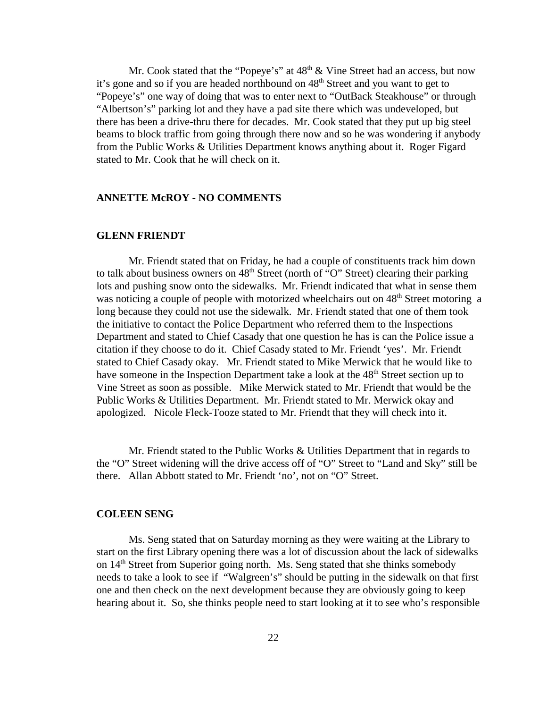Mr. Cook stated that the "Popeye's" at  $48<sup>th</sup> \&$  Vine Street had an access, but now it's gone and so if you are headed northbound on 48<sup>th</sup> Street and you want to get to "Popeye's" one way of doing that was to enter next to "OutBack Steakhouse" or through "Albertson's" parking lot and they have a pad site there which was undeveloped, but there has been a drive-thru there for decades. Mr. Cook stated that they put up big steel beams to block traffic from going through there now and so he was wondering if anybody from the Public Works & Utilities Department knows anything about it. Roger Figard stated to Mr. Cook that he will check on it.

#### **ANNETTE McROY - NO COMMENTS**

#### **GLENN FRIENDT**

Mr. Friendt stated that on Friday, he had a couple of constituents track him down to talk about business owners on  $48<sup>th</sup>$  Street (north of "O" Street) clearing their parking lots and pushing snow onto the sidewalks. Mr. Friendt indicated that what in sense them was noticing a couple of people with motorized wheelchairs out on 48<sup>th</sup> Street motoring a long because they could not use the sidewalk. Mr. Friendt stated that one of them took the initiative to contact the Police Department who referred them to the Inspections Department and stated to Chief Casady that one question he has is can the Police issue a citation if they choose to do it. Chief Casady stated to Mr. Friendt 'yes'. Mr. Friendt stated to Chief Casady okay. Mr. Friendt stated to Mike Merwick that he would like to have someone in the Inspection Department take a look at the 48<sup>th</sup> Street section up to Vine Street as soon as possible. Mike Merwick stated to Mr. Friendt that would be the Public Works & Utilities Department. Mr. Friendt stated to Mr. Merwick okay and apologized. Nicole Fleck-Tooze stated to Mr. Friendt that they will check into it.

Mr. Friendt stated to the Public Works & Utilities Department that in regards to the "O" Street widening will the drive access off of "O" Street to "Land and Sky" still be there. Allan Abbott stated to Mr. Friendt 'no', not on "O" Street.

#### **COLEEN SENG**

Ms. Seng stated that on Saturday morning as they were waiting at the Library to start on the first Library opening there was a lot of discussion about the lack of sidewalks on  $14<sup>th</sup>$  Street from Superior going north. Ms. Seng stated that she thinks somebody needs to take a look to see if "Walgreen's" should be putting in the sidewalk on that first one and then check on the next development because they are obviously going to keep hearing about it. So, she thinks people need to start looking at it to see who's responsible